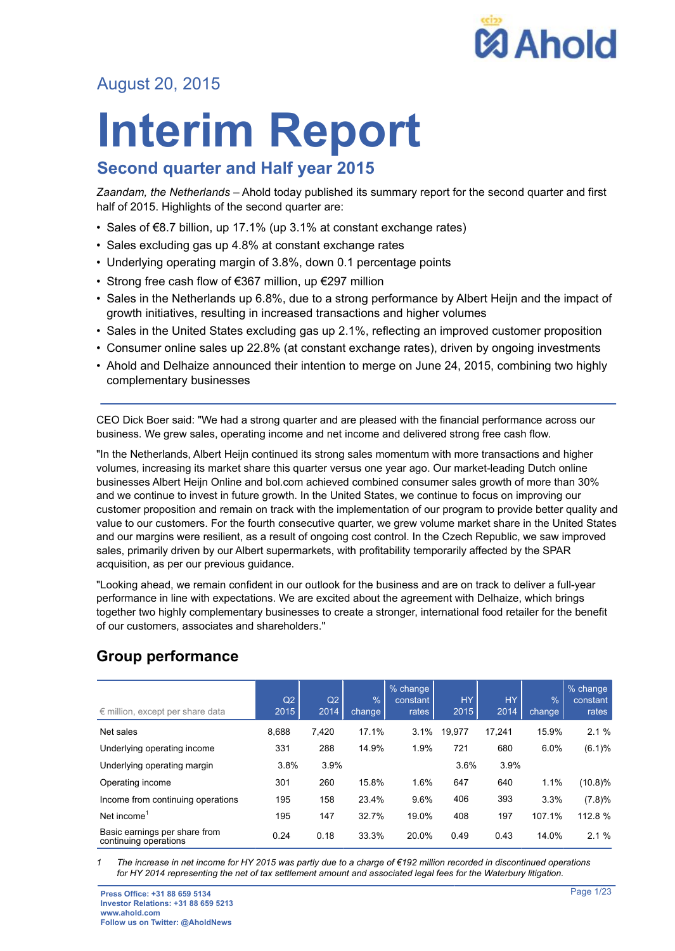

# August 20, 2015

# **Interim Report**

# **Second quarter and Half year 2015**

*Zaandam, the Netherlands* – Ahold today published its summary report for the second quarter and first half of 2015. Highlights of the second quarter are:

- Sales of €8.7 billion, up 17.1% (up 3.1% at constant exchange rates)
- Sales excluding gas up 4.8% at constant exchange rates
- Underlying operating margin of 3.8%, down 0.1 percentage points
- Strong free cash flow of €367 million, up €297 million
- Sales in the Netherlands up 6.8%, due to a strong performance by Albert Heijn and the impact of growth initiatives, resulting in increased transactions and higher volumes
- Sales in the United States excluding gas up 2.1%, reflecting an improved customer proposition
- Consumer online sales up 22.8% (at constant exchange rates), driven by ongoing investments
- Ahold and Delhaize announced their intention to merge on June 24, 2015, combining two highly complementary businesses

CEO Dick Boer said: "We had a strong quarter and are pleased with the financial performance across our business. We grew sales, operating income and net income and delivered strong free cash flow.

"In the Netherlands, Albert Heijn continued its strong sales momentum with more transactions and higher volumes, increasing its market share this quarter versus one year ago. Our market-leading Dutch online businesses Albert Heijn Online and bol.com achieved combined consumer sales growth of more than 30% and we continue to invest in future growth. In the United States, we continue to focus on improving our customer proposition and remain on track with the implementation of our program to provide better quality and value to our customers. For the fourth consecutive quarter, we grew volume market share in the United States and our margins were resilient, as a result of ongoing cost control. In the Czech Republic, we saw improved sales, primarily driven by our Albert supermarkets, with profitability temporarily affected by the SPAR acquisition, as per our previous guidance.

"Looking ahead, we remain confident in our outlook for the business and are on track to deliver a full-year performance in line with expectations. We are excited about the agreement with Delhaize, which brings together two highly complementary businesses to create a stronger, international food retailer for the benefit of our customers, associates and shareholders."

| $\epsilon$ million, except per share data              | Q2<br>2015 | Q2<br>2014 | $\frac{9}{6}$<br>change | % change<br>constant<br>rates | <b>HY</b><br>2015 | <b>HY</b><br>2014 | %<br>change | $%$ change<br>constant<br>rates |
|--------------------------------------------------------|------------|------------|-------------------------|-------------------------------|-------------------|-------------------|-------------|---------------------------------|
| Net sales                                              | 8,688      | 7,420      | 17.1%                   | 3.1%                          | 19.977            | 17.241            | 15.9%       | 2.1%                            |
| Underlying operating income                            | 331        | 288        | 14.9%                   | 1.9%                          | 721               | 680               | 6.0%        | (6.1)%                          |
| Underlying operating margin                            | 3.8%       | 3.9%       |                         |                               | 3.6%              | 3.9%              |             |                                 |
| Operating income                                       | 301        | 260        | 15.8%                   | 1.6%                          | 647               | 640               | 1.1%        | $(10.8)\%$                      |
| Income from continuing operations                      | 195        | 158        | 23.4%                   | 9.6%                          | 406               | 393               | 3.3%        | (7.8)%                          |
| Net income                                             | 195        | 147        | 32.7%                   | 19.0%                         | 408               | 197               | 107.1%      | 112.8 %                         |
| Basic earnings per share from<br>continuing operations | 0.24       | 0.18       | 33.3%                   | 20.0%                         | 0.49              | 0.43              | 14.0%       | 2.1%                            |

# **Group performance**

*1 The increase in net income for HY 2015 was partly due to a charge of €192 million recorded in discontinued operations for HY 2014 representing the net of tax settlement amount and associated legal fees for the Waterbury litigation.*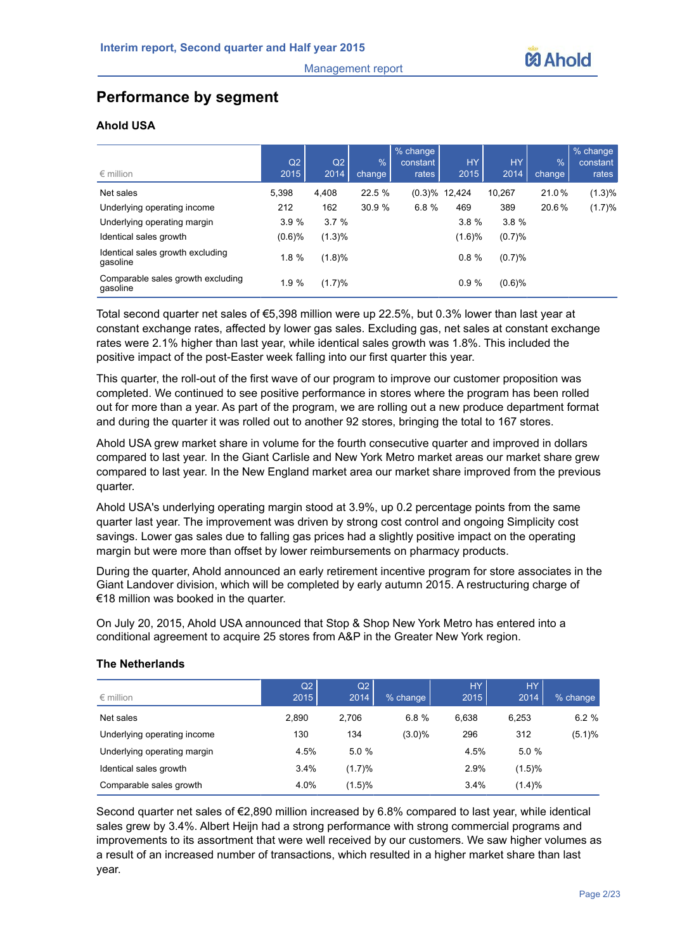# **Performance by segment**

#### **Ahold USA**

|                                               | Q2     | Q2     | $\%$   | $%$ change<br>constant | <b>HY</b> | <b>HY</b> | $\%$   | % change<br>constant |
|-----------------------------------------------|--------|--------|--------|------------------------|-----------|-----------|--------|----------------------|
| $\epsilon$ million                            | 2015   | 2014   | change | rates                  | 2015      | 2014      | change | rates                |
| Net sales                                     | 5,398  | 4,408  | 22.5 % | (0.3)%                 | 12,424    | 10,267    | 21.0%  | (1.3)%               |
| Underlying operating income                   | 212    | 162    | 30.9%  | 6.8%                   | 469       | 389       | 20.6%  | (1.7)%               |
| Underlying operating margin                   | 3.9%   | 3.7%   |        |                        | 3.8%      | 3.8%      |        |                      |
| Identical sales growth                        | (0.6)% | (1.3)% |        |                        | (1.6)%    | (0.7)%    |        |                      |
| Identical sales growth excluding<br>qasoline  | 1.8 %  | (1.8)% |        |                        | 0.8%      | (0.7)%    |        |                      |
| Comparable sales growth excluding<br>qasoline | 1.9 %  | (1.7)% |        |                        | 0.9%      | $(0.6)$ % |        |                      |

Total second quarter net sales of €5,398 million were up 22.5%, but 0.3% lower than last year at constant exchange rates, affected by lower gas sales. Excluding gas, net sales at constant exchange rates were 2.1% higher than last year, while identical sales growth was 1.8%. This included the positive impact of the post-Easter week falling into our first quarter this year.

This quarter, the roll-out of the first wave of our program to improve our customer proposition was completed. We continued to see positive performance in stores where the program has been rolled out for more than a year. As part of the program, we are rolling out a new produce department format and during the quarter it was rolled out to another 92 stores, bringing the total to 167 stores.

Ahold USA grew market share in volume for the fourth consecutive quarter and improved in dollars compared to last year. In the Giant Carlisle and New York Metro market areas our market share grew compared to last year. In the New England market area our market share improved from the previous quarter.

Ahold USA's underlying operating margin stood at 3.9%, up 0.2 percentage points from the same quarter last year. The improvement was driven by strong cost control and ongoing Simplicity cost savings. Lower gas sales due to falling gas prices had a slightly positive impact on the operating margin but were more than offset by lower reimbursements on pharmacy products.

During the quarter, Ahold announced an early retirement incentive program for store associates in the Giant Landover division, which will be completed by early autumn 2015. A restructuring charge of €18 million was booked in the quarter.

On July 20, 2015, Ahold USA announced that Stop & Shop New York Metro has entered into a conditional agreement to acquire 25 stores from A&P in the Greater New York region.

| $\epsilon$ million          | Q2<br>2015 | Q2<br>2014 | $%$ change | HY.<br>2015 | <b>HY</b><br>2014 | $%$ change |
|-----------------------------|------------|------------|------------|-------------|-------------------|------------|
| Net sales                   | 2.890      | 2.706      | 6.8%       | 6.638       | 6.253             | 6.2%       |
| Underlying operating income | 130        | 134        | $(3.0)\%$  | 296         | 312               | (5.1)%     |
| Underlying operating margin | 4.5%       | 5.0%       |            | 4.5%        | 5.0%              |            |
| Identical sales growth      | 3.4%       | (1.7)%     |            | 2.9%        | (1.5)%            |            |
| Comparable sales growth     | 4.0%       | (1.5)%     |            | 3.4%        | (1.4)%            |            |

#### **The Netherlands**

Second quarter net sales of €2,890 million increased by 6.8% compared to last year, while identical sales grew by 3.4%. Albert Heijn had a strong performance with strong commercial programs and improvements to its assortment that were well received by our customers. We saw higher volumes as a result of an increased number of transactions, which resulted in a higher market share than last year.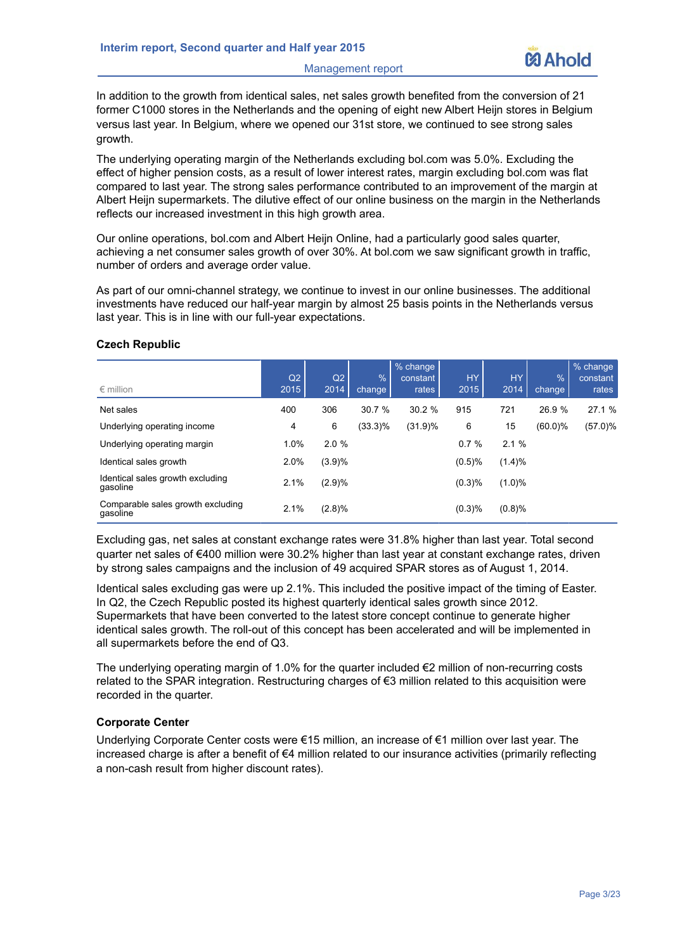Management report



In addition to the growth from identical sales, net sales growth benefited from the conversion of 21 former C1000 stores in the Netherlands and the opening of eight new Albert Heijn stores in Belgium versus last year. In Belgium, where we opened our 31st store, we continued to see strong sales growth.

The underlying operating margin of the Netherlands excluding bol.com was 5.0%. Excluding the effect of higher pension costs, as a result of lower interest rates, margin excluding bol.com was flat compared to last year. The strong sales performance contributed to an improvement of the margin at Albert Heijn supermarkets. The dilutive effect of our online business on the margin in the Netherlands reflects our increased investment in this high growth area.

Our online operations, bol.com and Albert Heijn Online, had a particularly good sales quarter, achieving a net consumer sales growth of over 30%. At bol.com we saw significant growth in traffic, number of orders and average order value.

As part of our omni-channel strategy, we continue to invest in our online businesses. The additional investments have reduced our half-year margin by almost 25 basis points in the Netherlands versus last year. This is in line with our full-year expectations.

| $\epsilon$ million                            | Q2<br>2015 | Q2<br>2014 | $\%$<br>change | % change<br>constant<br>rates | <b>HY</b><br>2015 | <b>HY</b><br>2014 | %<br>change | % change<br>constant<br>rates |
|-----------------------------------------------|------------|------------|----------------|-------------------------------|-------------------|-------------------|-------------|-------------------------------|
| Net sales                                     | 400        | 306        | 30.7 %         | 30.2%                         | 915               | 721               | 26.9%       | 27.1 %                        |
| Underlying operating income                   | 4          | 6          | $(33.3)\%$     | (31.9)%                       | 6                 | 15                | $(60.0)\%$  | $(57.0)\%$                    |
| Underlying operating margin                   | 1.0%       | 2.0%       |                |                               | 0.7%              | 2.1%              |             |                               |
| Identical sales growth                        | 2.0%       | (3.9)%     |                |                               | (0.5)%            | (1.4)%            |             |                               |
| Identical sales growth excluding<br>gasoline  | 2.1%       | (2.9)%     |                |                               | (0.3)%            | $(1.0)\%$         |             |                               |
| Comparable sales growth excluding<br>qasoline | 2.1%       | (2.8)%     |                |                               | (0.3)%            | (0.8)%            |             |                               |

#### **Czech Republic**

Excluding gas, net sales at constant exchange rates were 31.8% higher than last year. Total second quarter net sales of €400 million were 30.2% higher than last year at constant exchange rates, driven by strong sales campaigns and the inclusion of 49 acquired SPAR stores as of August 1, 2014.

Identical sales excluding gas were up 2.1%. This included the positive impact of the timing of Easter. In Q2, the Czech Republic posted its highest quarterly identical sales growth since 2012. Supermarkets that have been converted to the latest store concept continue to generate higher identical sales growth. The roll-out of this concept has been accelerated and will be implemented in all supermarkets before the end of Q3.

The underlying operating margin of 1.0% for the quarter included €2 million of non-recurring costs related to the SPAR integration. Restructuring charges of €3 million related to this acquisition were recorded in the quarter.

#### **Corporate Center**

Underlying Corporate Center costs were €15 million, an increase of €1 million over last year. The increased charge is after a benefit of €4 million related to our insurance activities (primarily reflecting a non-cash result from higher discount rates).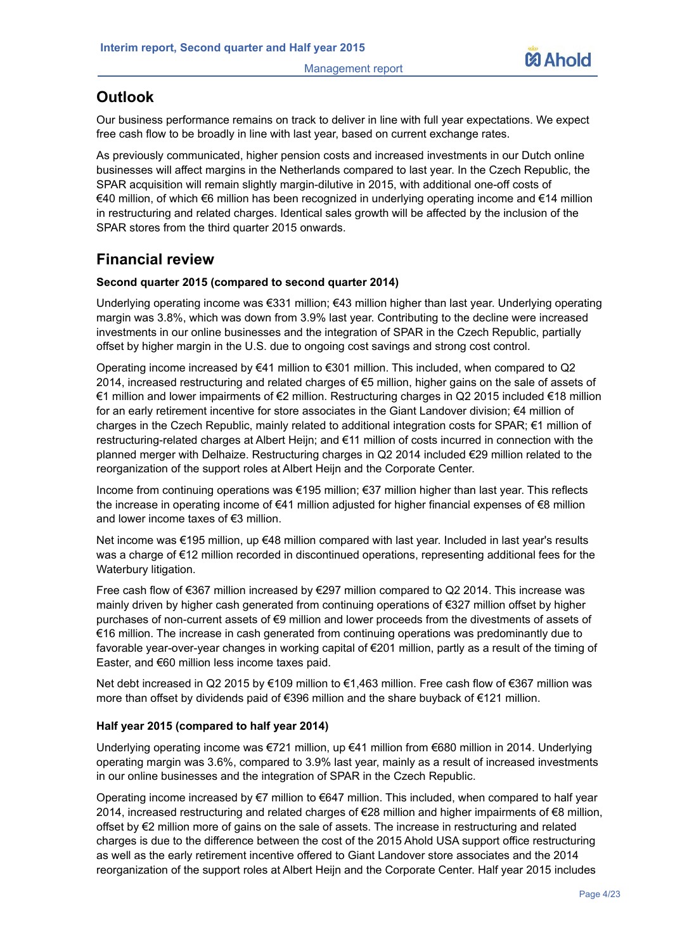

# **Outlook**

Our business performance remains on track to deliver in line with full year expectations. We expect free cash flow to be broadly in line with last year, based on current exchange rates.

As previously communicated, higher pension costs and increased investments in our Dutch online businesses will affect margins in the Netherlands compared to last year. In the Czech Republic, the SPAR acquisition will remain slightly margin-dilutive in 2015, with additional one-off costs of €40 million, of which €6 million has been recognized in underlying operating income and €14 million in restructuring and related charges. Identical sales growth will be affected by the inclusion of the SPAR stores from the third quarter 2015 onwards.

## **Financial review**

#### **Second quarter 2015 (compared to second quarter 2014)**

Underlying operating income was €331 million; €43 million higher than last year. Underlying operating margin was 3.8%, which was down from 3.9% last year. Contributing to the decline were increased investments in our online businesses and the integration of SPAR in the Czech Republic, partially offset by higher margin in the U.S. due to ongoing cost savings and strong cost control.

Operating income increased by €41 million to €301 million. This included, when compared to Q2 2014, increased restructuring and related charges of €5 million, higher gains on the sale of assets of €1 million and lower impairments of €2 million. Restructuring charges in Q2 2015 included €18 million for an early retirement incentive for store associates in the Giant Landover division; €4 million of charges in the Czech Republic, mainly related to additional integration costs for SPAR; €1 million of restructuring-related charges at Albert Heijn; and €11 million of costs incurred in connection with the planned merger with Delhaize. Restructuring charges in Q2 2014 included €29 million related to the reorganization of the support roles at Albert Heijn and the Corporate Center.

Income from continuing operations was €195 million; €37 million higher than last year. This reflects the increase in operating income of €41 million adjusted for higher financial expenses of €8 million and lower income taxes of €3 million.

Net income was €195 million, up €48 million compared with last year. Included in last year's results was a charge of €12 million recorded in discontinued operations, representing additional fees for the Waterbury litigation.

Free cash flow of €367 million increased by €297 million compared to Q2 2014. This increase was mainly driven by higher cash generated from continuing operations of €327 million offset by higher purchases of non-current assets of €9 million and lower proceeds from the divestments of assets of €16 million. The increase in cash generated from continuing operations was predominantly due to favorable year-over-year changes in working capital of €201 million, partly as a result of the timing of Easter, and €60 million less income taxes paid.

Net debt increased in Q2 2015 by €109 million to €1,463 million. Free cash flow of €367 million was more than offset by dividends paid of €396 million and the share buyback of €121 million.

#### **Half year 2015 (compared to half year 2014)**

Underlying operating income was €721 million, up €41 million from €680 million in 2014. Underlying operating margin was 3.6%, compared to 3.9% last year, mainly as a result of increased investments in our online businesses and the integration of SPAR in the Czech Republic.

Operating income increased by €7 million to €647 million. This included, when compared to half year 2014, increased restructuring and related charges of €28 million and higher impairments of €8 million, offset by €2 million more of gains on the sale of assets. The increase in restructuring and related charges is due to the difference between the cost of the 2015 Ahold USA support office restructuring as well as the early retirement incentive offered to Giant Landover store associates and the 2014 reorganization of the support roles at Albert Heijn and the Corporate Center. Half year 2015 includes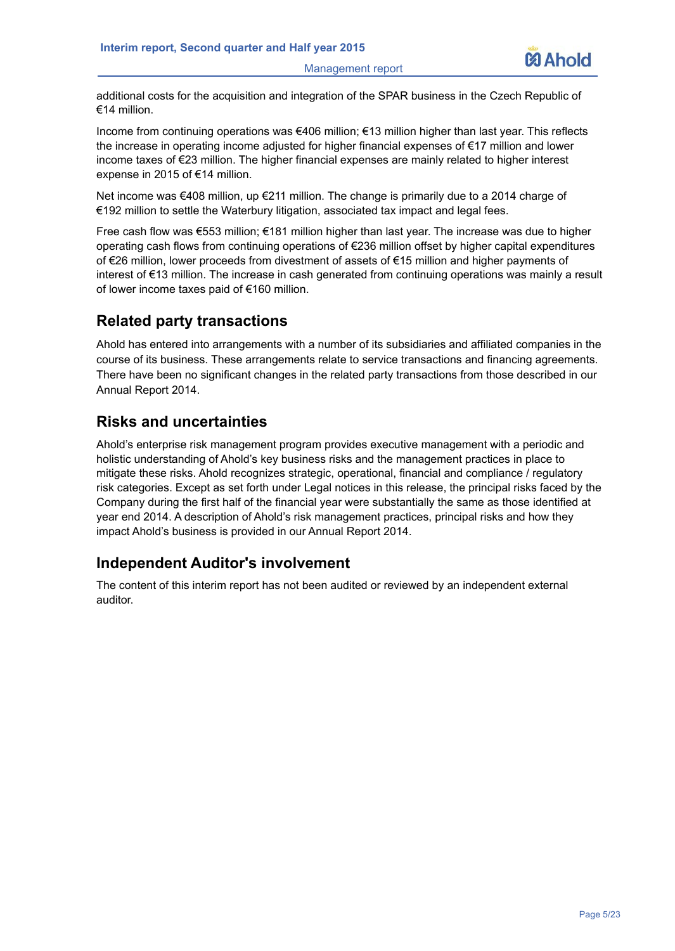Management report



additional costs for the acquisition and integration of the SPAR business in the Czech Republic of €14 million.

Income from continuing operations was €406 million; €13 million higher than last year. This reflects the increase in operating income adjusted for higher financial expenses of €17 million and lower income taxes of €23 million. The higher financial expenses are mainly related to higher interest expense in 2015 of €14 million.

Net income was €408 million, up €211 million. The change is primarily due to a 2014 charge of €192 million to settle the Waterbury litigation, associated tax impact and legal fees.

Free cash flow was €553 million; €181 million higher than last year. The increase was due to higher operating cash flows from continuing operations of €236 million offset by higher capital expenditures of €26 million, lower proceeds from divestment of assets of €15 million and higher payments of interest of €13 million. The increase in cash generated from continuing operations was mainly a result of lower income taxes paid of €160 million.

## **Related party transactions**

Ahold has entered into arrangements with a number of its subsidiaries and affiliated companies in the course of its business. These arrangements relate to service transactions and financing agreements. There have been no significant changes in the related party transactions from those described in our Annual Report 2014.

## **Risks and uncertainties**

Ahold's enterprise risk management program provides executive management with a periodic and holistic understanding of Ahold's key business risks and the management practices in place to mitigate these risks. Ahold recognizes strategic, operational, financial and compliance / regulatory risk categories. Except as set forth under Legal notices in this release, the principal risks faced by the Company during the first half of the financial year were substantially the same as those identified at year end 2014. A description of Ahold's risk management practices, principal risks and how they impact Ahold's business is provided in our Annual Report 2014.

## **Independent Auditor's involvement**

The content of this interim report has not been audited or reviewed by an independent external auditor.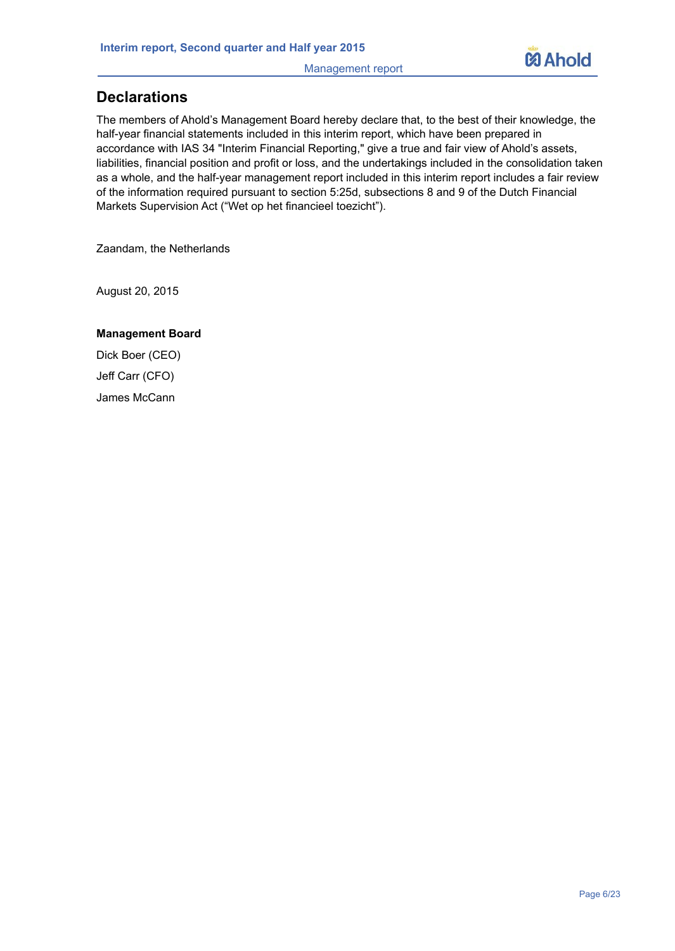Management report



# **Declarations**

The members of Ahold's Management Board hereby declare that, to the best of their knowledge, the half-year financial statements included in this interim report, which have been prepared in accordance with IAS 34 "Interim Financial Reporting," give a true and fair view of Ahold's assets, liabilities, financial position and profit or loss, and the undertakings included in the consolidation taken as a whole, and the half-year management report included in this interim report includes a fair review of the information required pursuant to section 5:25d, subsections 8 and 9 of the Dutch Financial Markets Supervision Act ("Wet op het financieel toezicht").

Zaandam, the Netherlands

August 20, 2015

#### **Management Board**

Dick Boer (CEO) Jeff Carr (CFO) James McCann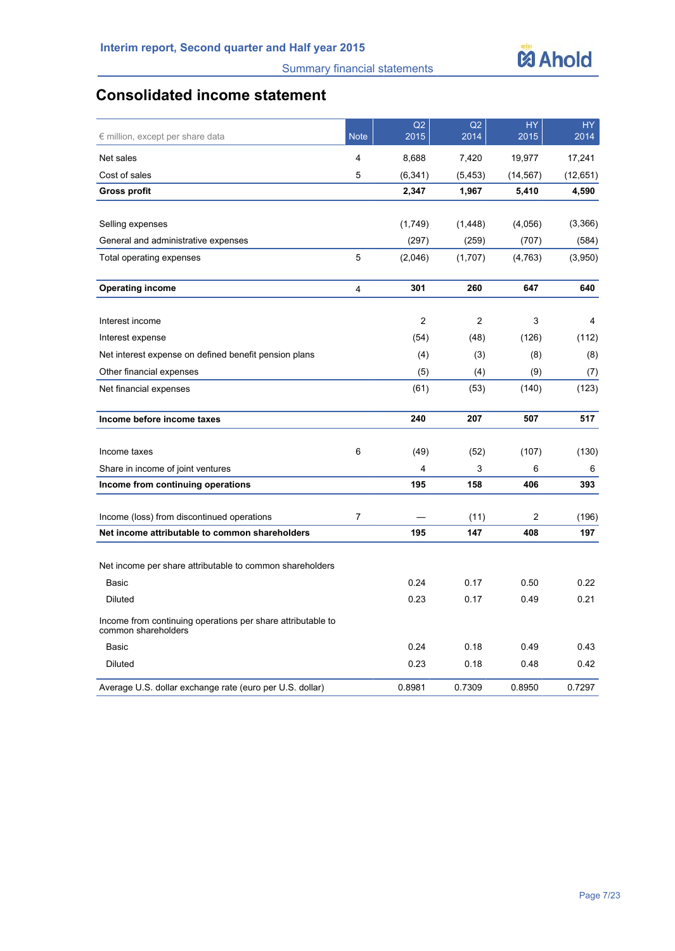

# **Consolidated income statement**

| $\epsilon$ million, except per share data                                          | <b>Note</b>    | Q2<br>2015     | Q2<br>2014     | <b>HY</b><br>2015 | HY<br>2014 |
|------------------------------------------------------------------------------------|----------------|----------------|----------------|-------------------|------------|
| Net sales                                                                          | $\overline{4}$ | 8,688          | 7,420          | 19,977            | 17,241     |
| Cost of sales                                                                      | 5              | (6, 341)       | (5, 453)       | (14, 567)         | (12,651)   |
| <b>Gross profit</b>                                                                |                | 2,347          | 1,967          | 5,410             | 4,590      |
|                                                                                    |                |                |                |                   |            |
| Selling expenses                                                                   |                | (1,749)        | (1, 448)       | (4,056)           | (3,366)    |
| General and administrative expenses                                                |                | (297)          | (259)          | (707)             | (584)      |
| Total operating expenses                                                           | 5              | (2,046)        | (1,707)        | (4, 763)          | (3,950)    |
| <b>Operating income</b>                                                            | 4              | 301            | 260            | 647               | 640        |
| Interest income                                                                    |                | $\overline{c}$ | $\overline{c}$ | 3                 | 4          |
| Interest expense                                                                   |                | (54)           | (48)           | (126)             | (112)      |
| Net interest expense on defined benefit pension plans                              |                | (4)            | (3)            | (8)               | (8)        |
| Other financial expenses                                                           |                | (5)            | (4)            | (9)               | (7)        |
| Net financial expenses                                                             |                | (61)           | (53)           | (140)             | (123)      |
| Income before income taxes                                                         |                | 240            | 207            | 507               | 517        |
| Income taxes                                                                       | 6              | (49)           | (52)           | (107)             | (130)      |
| Share in income of joint ventures                                                  |                | $\overline{4}$ | 3              | 6                 | 6          |
| Income from continuing operations                                                  |                | 195            | 158            | 406               | 393        |
| Income (loss) from discontinued operations                                         | 7              |                | (11)           | 2                 | (196)      |
| Net income attributable to common shareholders                                     |                | 195            | 147            | 408               | 197        |
| Net income per share attributable to common shareholders                           |                |                |                |                   |            |
| Basic                                                                              |                | 0.24           | 0.17           | 0.50              | 0.22       |
| <b>Diluted</b>                                                                     |                | 0.23           | 0.17           | 0.49              | 0.21       |
| Income from continuing operations per share attributable to<br>common shareholders |                |                |                |                   |            |
| Basic                                                                              |                | 0.24           | 0.18           | 0.49              | 0.43       |
| Diluted                                                                            |                | 0.23           | 0.18           | 0.48              | 0.42       |
| Average U.S. dollar exchange rate (euro per U.S. dollar)                           |                | 0.8981         | 0.7309         | 0.8950            | 0.7297     |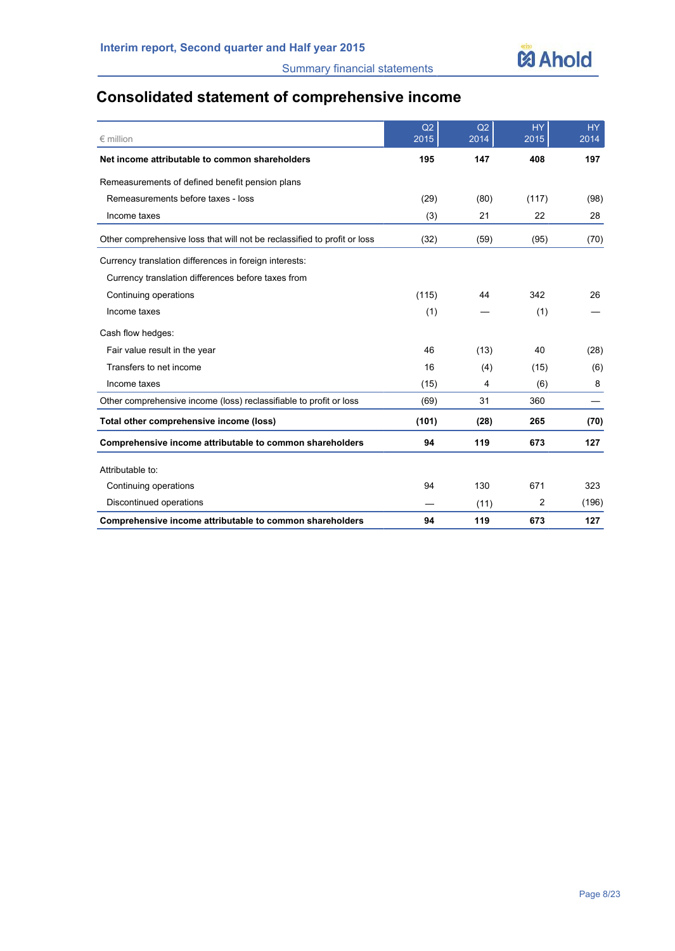

# **Consolidated statement of comprehensive income**

| $\epsilon$ million                                                       | Q2<br>2015 | Q2<br>2014 | <b>HY</b><br>2015 | <b>HY</b><br>2014 |
|--------------------------------------------------------------------------|------------|------------|-------------------|-------------------|
| Net income attributable to common shareholders                           | 195        | 147        | 408               | 197               |
| Remeasurements of defined benefit pension plans                          |            |            |                   |                   |
| Remeasurements before taxes - loss                                       | (29)       | (80)       | (117)             | (98)              |
| Income taxes                                                             | (3)        | 21         | 22                | 28                |
| Other comprehensive loss that will not be reclassified to profit or loss | (32)       | (59)       | (95)              | (70)              |
| Currency translation differences in foreign interests:                   |            |            |                   |                   |
| Currency translation differences before taxes from                       |            |            |                   |                   |
| Continuing operations                                                    | (115)      | 44         | 342               | 26                |
| Income taxes                                                             | (1)        |            | (1)               |                   |
| Cash flow hedges:                                                        |            |            |                   |                   |
| Fair value result in the year                                            | 46         | (13)       | 40                | (28)              |
| Transfers to net income                                                  | 16         | (4)        | (15)              | (6)               |
| Income taxes                                                             | (15)       | 4          | (6)               | 8                 |
| Other comprehensive income (loss) reclassifiable to profit or loss       | (69)       | 31         | 360               |                   |
| Total other comprehensive income (loss)                                  | (101)      | (28)       | 265               | (70)              |
| Comprehensive income attributable to common shareholders                 | 94         | 119        | 673               | 127               |
| Attributable to:                                                         |            |            |                   |                   |
| Continuing operations                                                    | 94         | 130        | 671               | 323               |
| Discontinued operations                                                  |            | (11)       | 2                 | (196)             |
| Comprehensive income attributable to common shareholders                 | 94         | 119        | 673               | 127               |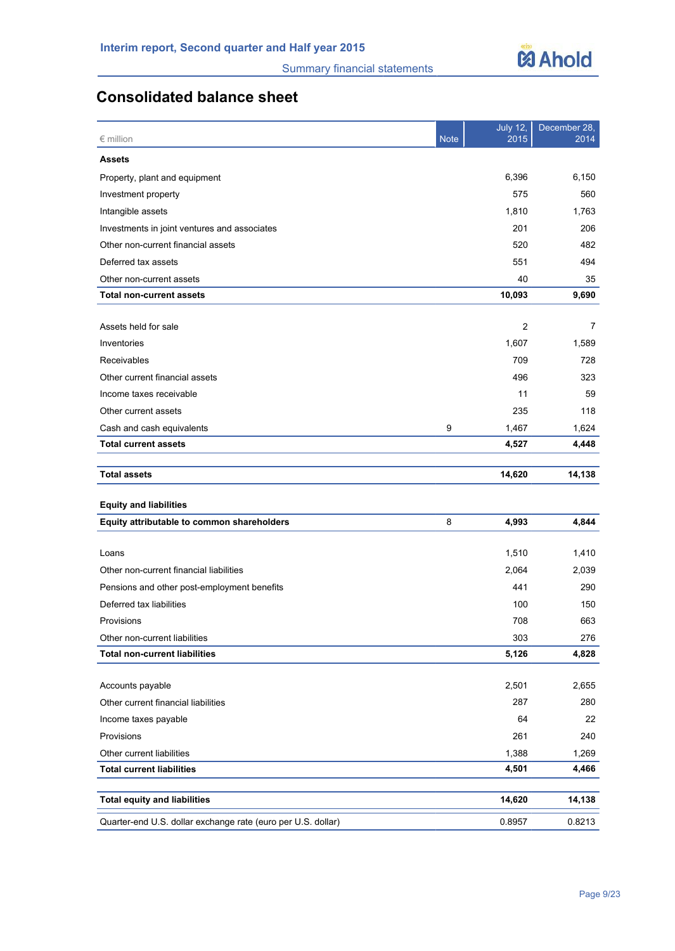

# **Consolidated balance sheet**

| $\epsilon$ million                                           | <b>Note</b> | <b>July 12,</b><br>2015 | December 28,<br>2014 |
|--------------------------------------------------------------|-------------|-------------------------|----------------------|
| <b>Assets</b>                                                |             |                         |                      |
| Property, plant and equipment                                |             | 6,396                   | 6,150                |
| Investment property                                          |             | 575                     | 560                  |
| Intangible assets                                            |             | 1,810                   | 1,763                |
| Investments in joint ventures and associates                 |             | 201                     | 206                  |
| Other non-current financial assets                           |             | 520                     | 482                  |
| Deferred tax assets                                          |             | 551                     | 494                  |
| Other non-current assets                                     |             | 40                      | 35                   |
| <b>Total non-current assets</b>                              |             | 10,093                  | 9,690                |
|                                                              |             |                         |                      |
| Assets held for sale                                         |             | $\overline{2}$          | 7                    |
| Inventories                                                  |             | 1,607                   | 1,589                |
| Receivables                                                  |             | 709                     | 728                  |
| Other current financial assets                               |             | 496                     | 323                  |
| Income taxes receivable                                      |             | 11                      | 59                   |
| Other current assets                                         |             | 235                     | 118                  |
| Cash and cash equivalents                                    | 9           | 1,467                   | 1,624                |
| <b>Total current assets</b>                                  |             | 4,527                   | 4,448                |
|                                                              |             |                         |                      |
| <b>Total assets</b>                                          |             | 14,620                  | 14,138               |
| <b>Equity and liabilities</b>                                |             |                         |                      |
| Equity attributable to common shareholders                   | 8           | 4,993                   | 4,844                |
|                                                              |             |                         |                      |
| Loans                                                        |             | 1,510                   | 1,410                |
| Other non-current financial liabilities                      |             | 2,064                   | 2,039                |
| Pensions and other post-employment benefits                  |             | 441                     | 290                  |
| Deferred tax liabilities                                     |             | 100                     | 150                  |
| Provisions                                                   |             | 708                     | 663                  |
| Other non-current liabilities                                |             | 303                     | 276                  |
| <b>Total non-current liabilities</b>                         |             | 5,126                   | 4,828                |
| Accounts payable                                             |             | 2,501                   | 2,655                |
| Other current financial liabilities                          |             | 287                     | 280                  |
| Income taxes payable                                         |             | 64                      | 22                   |
| Provisions                                                   |             | 261                     | 240                  |
| Other current liabilities                                    |             | 1,388                   | 1,269                |
| <b>Total current liabilities</b>                             |             | 4,501                   | 4,466                |
|                                                              |             |                         |                      |
| <b>Total equity and liabilities</b>                          |             | 14,620                  | 14,138               |
| Quarter-end U.S. dollar exchange rate (euro per U.S. dollar) |             | 0.8957                  | 0.8213               |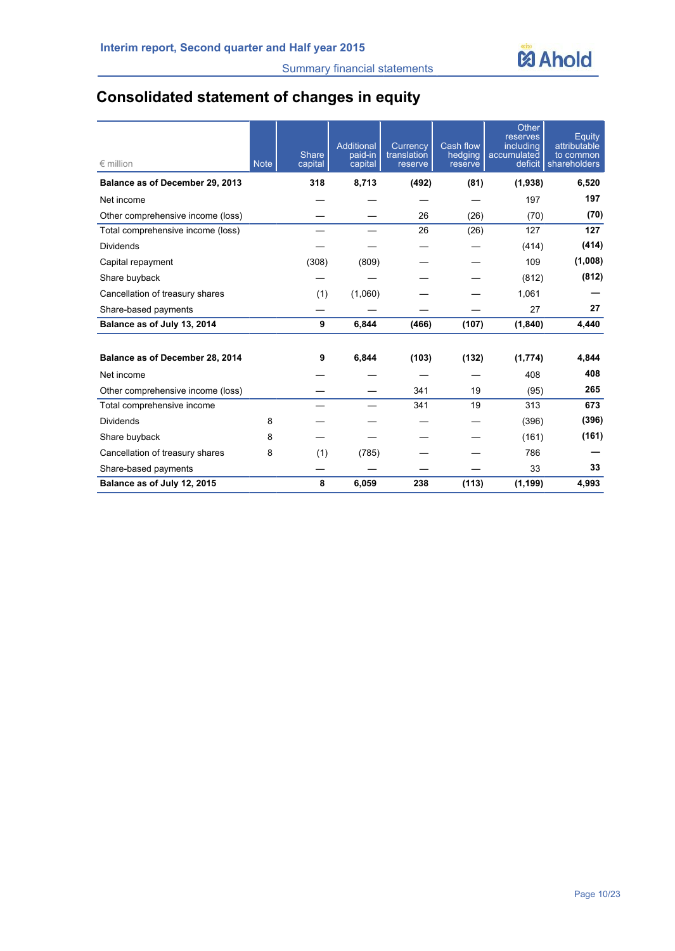

# **Consolidated statement of changes in equity**

| $\epsilon$ million                | <b>Note</b> | <b>Share</b><br>capital | Additional<br>paid-in<br>capital | Currency<br>translation<br>reserve | <b>Cash flow</b><br>hedging<br>reserve | Other<br>reserves<br>including<br>accumulated<br>deficit | Equity<br>attributable<br>to common<br>shareholders |
|-----------------------------------|-------------|-------------------------|----------------------------------|------------------------------------|----------------------------------------|----------------------------------------------------------|-----------------------------------------------------|
| Balance as of December 29, 2013   |             | 318                     | 8,713                            | (492)                              | (81)                                   | (1,938)                                                  | 6,520                                               |
| Net income                        |             |                         |                                  |                                    |                                        | 197                                                      | 197                                                 |
| Other comprehensive income (loss) |             |                         |                                  | 26                                 | (26)                                   | (70)                                                     | (70)                                                |
| Total comprehensive income (loss) |             |                         |                                  | 26                                 | (26)                                   | 127                                                      | 127                                                 |
| <b>Dividends</b>                  |             |                         |                                  |                                    |                                        | (414)                                                    | (414)                                               |
| Capital repayment                 |             | (308)                   | (809)                            |                                    |                                        | 109                                                      | (1,008)                                             |
| Share buyback                     |             |                         |                                  |                                    |                                        | (812)                                                    | (812)                                               |
| Cancellation of treasury shares   |             | (1)                     | (1,060)                          |                                    |                                        | 1,061                                                    |                                                     |
| Share-based payments              |             |                         |                                  |                                    |                                        | 27                                                       | 27                                                  |
| Balance as of July 13, 2014       |             | 9                       | 6,844                            | (466)                              | (107)                                  | (1, 840)                                                 | 4,440                                               |
| Balance as of December 28, 2014   |             | 9                       | 6,844                            | (103)                              | (132)                                  | (1,774)                                                  | 4.844                                               |
| Net income                        |             |                         |                                  |                                    |                                        | 408                                                      | 408                                                 |
| Other comprehensive income (loss) |             |                         |                                  | 341                                | 19                                     | (95)                                                     | 265                                                 |
| Total comprehensive income        |             |                         |                                  | 341                                | 19                                     | 313                                                      | 673                                                 |
| <b>Dividends</b>                  | 8           |                         |                                  |                                    |                                        | (396)                                                    | (396)                                               |
| Share buyback                     | 8           |                         |                                  |                                    |                                        | (161)                                                    | (161)                                               |
| Cancellation of treasury shares   | 8           | (1)                     | (785)                            |                                    |                                        | 786                                                      |                                                     |
| Share-based payments              |             |                         |                                  |                                    |                                        | 33                                                       | 33                                                  |
| Balance as of July 12, 2015       |             | 8                       | 6,059                            | 238                                | (113)                                  | (1, 199)                                                 | 4.993                                               |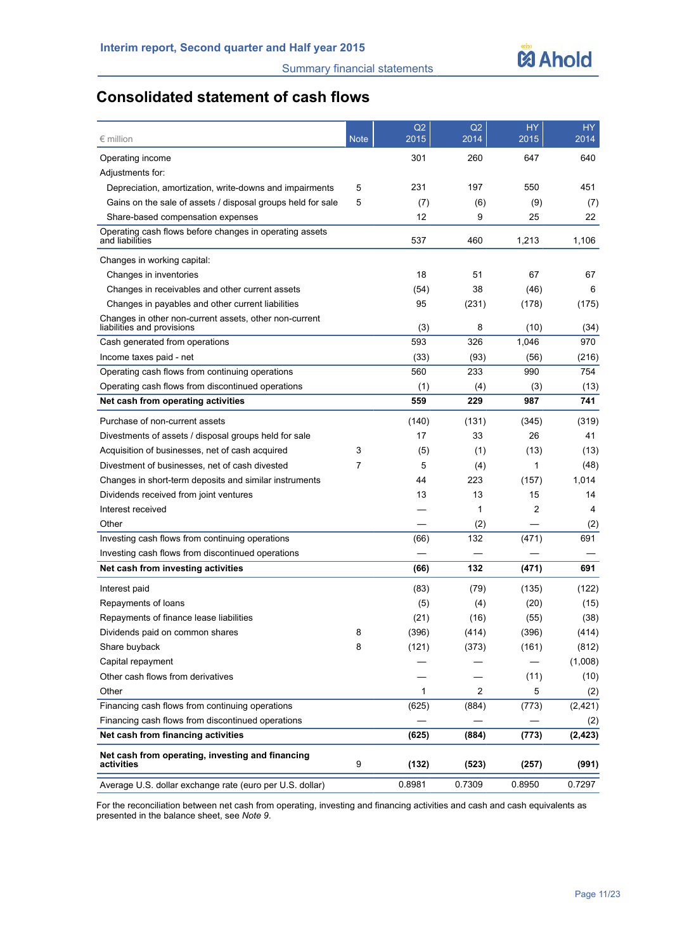# **Consolidated statement of cash flows**

| $\epsilon$ million                                                                   | <b>Note</b> | Q2<br>2015 | Q2<br>2014 | <b>HY</b><br>2015 | HY.<br>2014 |
|--------------------------------------------------------------------------------------|-------------|------------|------------|-------------------|-------------|
| Operating income                                                                     |             | 301        | 260        | 647               | 640         |
| Adjustments for:                                                                     |             |            |            |                   |             |
| Depreciation, amortization, write-downs and impairments                              | 5           | 231        | 197        | 550               | 451         |
| Gains on the sale of assets / disposal groups held for sale                          | 5           | (7)        | (6)        | (9)               | (7)         |
| Share-based compensation expenses                                                    |             | 12         | 9          | 25                | 22          |
| Operating cash flows before changes in operating assets<br>and liabilities           |             | 537        | 460        | 1,213             | 1,106       |
| Changes in working capital:                                                          |             |            |            |                   |             |
| Changes in inventories                                                               |             | 18         | 51         | 67                | 67          |
| Changes in receivables and other current assets                                      |             | (54)       | 38         | (46)              | 6           |
| Changes in payables and other current liabilities                                    |             | 95         | (231)      | (178)             | (175)       |
| Changes in other non-current assets, other non-current<br>liabilities and provisions |             | (3)        | 8          | (10)              | (34)        |
| Cash generated from operations                                                       |             | 593        | 326        | 1,046             | 970         |
| Income taxes paid - net                                                              |             | (33)       | (93)       | (56)              | (216)       |
| Operating cash flows from continuing operations                                      |             | 560        | 233        | 990               | 754         |
| Operating cash flows from discontinued operations                                    |             | (1)        | (4)        | (3)               | (13)        |
| Net cash from operating activities                                                   |             | 559        | 229        | 987               | 741         |
| Purchase of non-current assets                                                       |             | (140)      | (131)      | (345)             | (319)       |
| Divestments of assets / disposal groups held for sale                                |             | 17         | 33         | 26                | 41          |
| Acquisition of businesses, net of cash acquired                                      | 3           | (5)        | (1)        | (13)              | (13)        |
| Divestment of businesses, net of cash divested                                       | 7           | 5          | (4)        | 1                 | (48)        |
| Changes in short-term deposits and similar instruments                               |             | 44         | 223        | (157)             | 1,014       |
| Dividends received from joint ventures                                               |             | 13         | 13         | 15                | 14          |
| Interest received                                                                    |             |            | 1          | $\overline{c}$    | 4           |
| Other                                                                                |             |            | (2)        |                   | (2)         |
| Investing cash flows from continuing operations                                      |             | (66)       | 132        | (471)             | 691         |
| Investing cash flows from discontinued operations                                    |             |            |            |                   |             |
| Net cash from investing activities                                                   |             | (66)       | 132        | (471)             | 691         |
| Interest paid                                                                        |             | (83)       | (79)       | (135)             | (122)       |
| Repayments of loans                                                                  |             | (5)        | (4)        | (20)              | (15)        |
| Repayments of finance lease liabilities                                              |             | (21)       | (16)       | (55)              | (38)        |
| Dividends paid on common shares                                                      | 8           | (396)      | (414)      | (396)             | (414)       |
| Share buyback                                                                        | 8           | (121)      | (373)      | (161)             | (812)       |
| Capital repayment                                                                    |             |            |            |                   | (1,008)     |
| Other cash flows from derivatives                                                    |             |            |            | (11)              | (10)        |
| Other                                                                                |             | 1          | 2          | 5                 | (2)         |
| Financing cash flows from continuing operations                                      |             | (625)      | (884)      | (773)             | (2, 421)    |
| Financing cash flows from discontinued operations                                    |             |            |            |                   | (2)         |
| Net cash from financing activities                                                   |             | (625)      | (884)      | (773)             | (2, 423)    |
| Net cash from operating, investing and financing<br>activities                       | 9           | (132)      | (523)      | (257)             | (991)       |
| Average U.S. dollar exchange rate (euro per U.S. dollar)                             |             | 0.8981     | 0.7309     | 0.8950            | 0.7297      |

For the reconciliation between net cash from operating, investing and financing activities and cash and cash equivalents as presented in the balance sheet, see *Note 9*.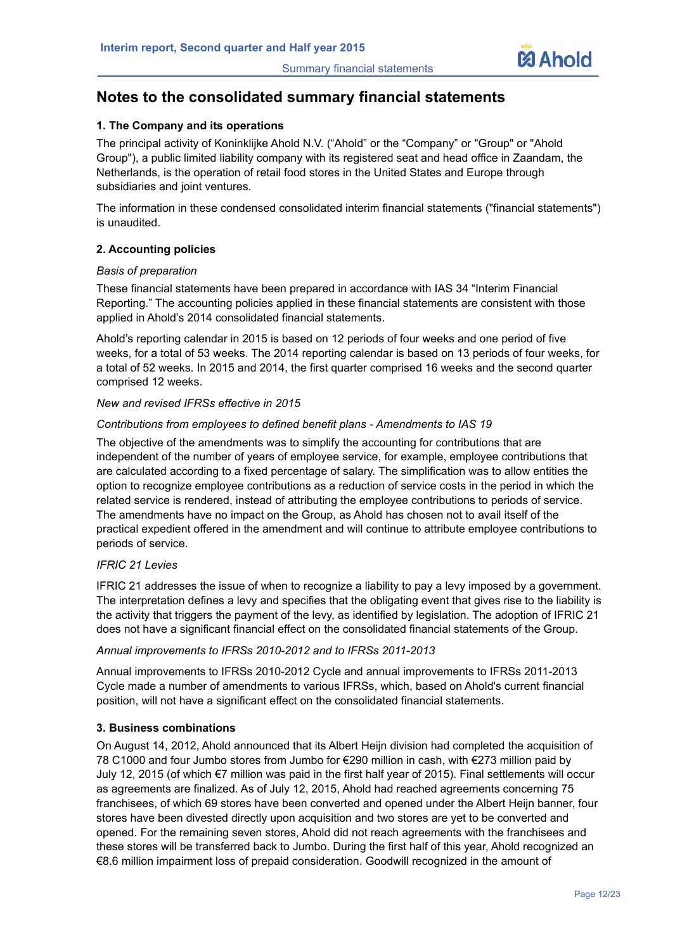

# **Notes to the consolidated summary financial statements**

#### **1. The Company and its operations**

The principal activity of Koninklijke Ahold N.V. ("Ahold" or the "Company" or "Group" or "Ahold Group"), a public limited liability company with its registered seat and head office in Zaandam, the Netherlands, is the operation of retail food stores in the United States and Europe through subsidiaries and joint ventures.

The information in these condensed consolidated interim financial statements ("financial statements") is unaudited.

#### **2. Accounting policies**

#### *Basis of preparation*

These financial statements have been prepared in accordance with IAS 34 "Interim Financial Reporting." The accounting policies applied in these financial statements are consistent with those applied in Ahold's 2014 consolidated financial statements.

Ahold's reporting calendar in 2015 is based on 12 periods of four weeks and one period of five weeks, for a total of 53 weeks. The 2014 reporting calendar is based on 13 periods of four weeks, for a total of 52 weeks. In 2015 and 2014, the first quarter comprised 16 weeks and the second quarter comprised 12 weeks.

#### *New and revised IFRSs effective in 2015*

#### *Contributions from employees to defined benefit plans - Amendments to IAS 19*

The objective of the amendments was to simplify the accounting for contributions that are independent of the number of years of employee service, for example, employee contributions that are calculated according to a fixed percentage of salary. The simplification was to allow entities the option to recognize employee contributions as a reduction of service costs in the period in which the related service is rendered, instead of attributing the employee contributions to periods of service. The amendments have no impact on the Group, as Ahold has chosen not to avail itself of the practical expedient offered in the amendment and will continue to attribute employee contributions to periods of service.

#### *IFRIC 21 Levies*

IFRIC 21 addresses the issue of when to recognize a liability to pay a levy imposed by a government. The interpretation defines a levy and specifies that the obligating event that gives rise to the liability is the activity that triggers the payment of the levy, as identified by legislation. The adoption of IFRIC 21 does not have a significant financial effect on the consolidated financial statements of the Group.

#### *Annual improvements to IFRSs 2010-2012 and to IFRSs 2011-2013*

Annual improvements to IFRSs 2010-2012 Cycle and annual improvements to IFRSs 2011-2013 Cycle made a number of amendments to various IFRSs, which, based on Ahold's current financial position, will not have a significant effect on the consolidated financial statements.

#### **3. Business combinations**

On August 14, 2012, Ahold announced that its Albert Heijn division had completed the acquisition of 78 C1000 and four Jumbo stores from Jumbo for €290 million in cash, with €273 million paid by July 12, 2015 (of which €7 million was paid in the first half year of 2015). Final settlements will occur as agreements are finalized. As of July 12, 2015, Ahold had reached agreements concerning 75 franchisees, of which 69 stores have been converted and opened under the Albert Heijn banner, four stores have been divested directly upon acquisition and two stores are yet to be converted and opened. For the remaining seven stores, Ahold did not reach agreements with the franchisees and these stores will be transferred back to Jumbo. During the first half of this year, Ahold recognized an €8.6 million impairment loss of prepaid consideration. Goodwill recognized in the amount of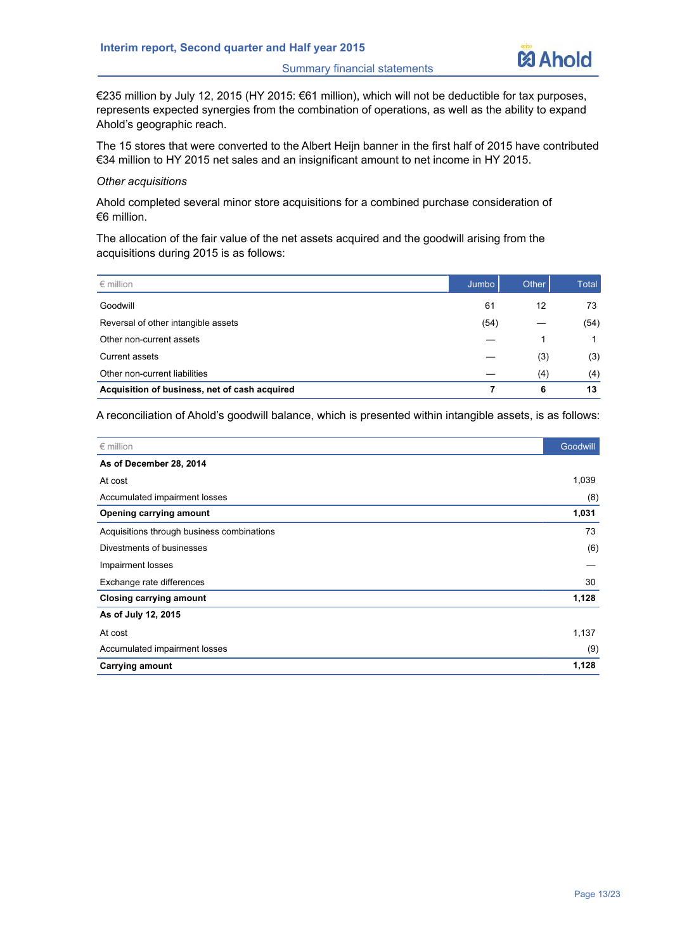

€235 million by July 12, 2015 (HY 2015: €61 million), which will not be deductible for tax purposes, represents expected synergies from the combination of operations, as well as the ability to expand Ahold's geographic reach.

The 15 stores that were converted to the Albert Heijn banner in the first half of 2015 have contributed €34 million to HY 2015 net sales and an insignificant amount to net income in HY 2015.

#### *Other acquisitions*

Ahold completed several minor store acquisitions for a combined purchase consideration of €6 million.

The allocation of the fair value of the net assets acquired and the goodwill arising from the acquisitions during 2015 is as follows:

| $\epsilon$ million                            | Jumbo | Other | Total |
|-----------------------------------------------|-------|-------|-------|
| Goodwill                                      | 61    | 12    | 73    |
| Reversal of other intangible assets           | (54)  |       | (54)  |
| Other non-current assets                      |       |       |       |
| Current assets                                |       | (3)   | (3)   |
| Other non-current liabilities                 |       | (4)   | (4)   |
| Acquisition of business, net of cash acquired |       | 6     | 13    |

A reconciliation of Ahold's goodwill balance, which is presented within intangible assets, is as follows:

| $\epsilon$ million                         | Goodwill |
|--------------------------------------------|----------|
| As of December 28, 2014                    |          |
| At cost                                    | 1,039    |
| Accumulated impairment losses              | (8)      |
| Opening carrying amount                    | 1,031    |
| Acquisitions through business combinations | 73       |
| Divestments of businesses                  | (6)      |
| Impairment losses                          |          |
| Exchange rate differences                  | 30       |
| Closing carrying amount                    | 1,128    |
| As of July 12, 2015                        |          |
| At cost                                    | 1,137    |
| Accumulated impairment losses              | (9)      |
| <b>Carrying amount</b>                     | 1,128    |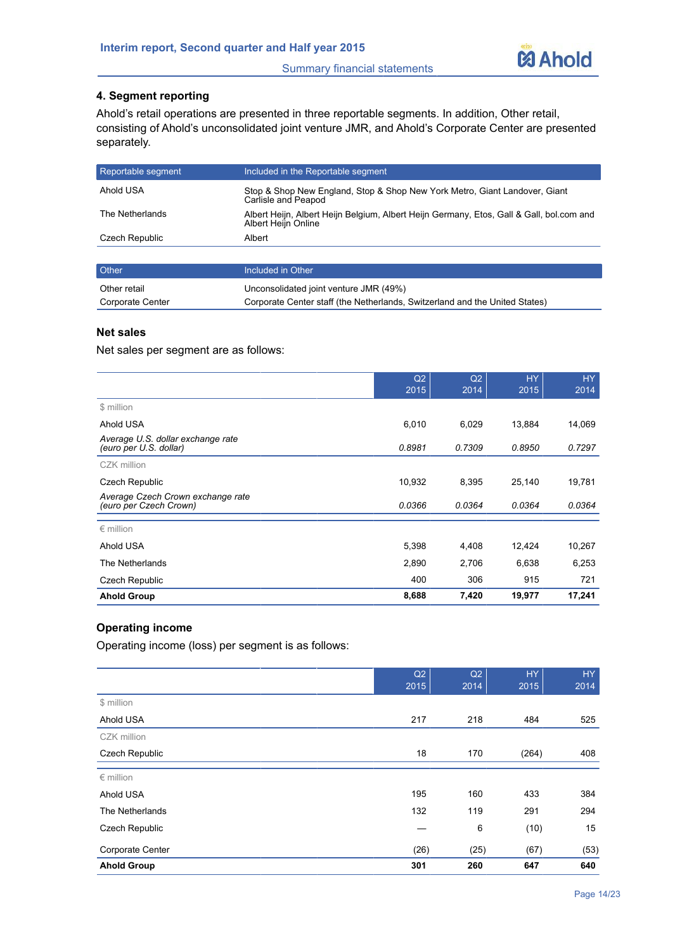

#### **4. Segment reporting**

Ahold's retail operations are presented in three reportable segments. In addition, Other retail, consisting of Ahold's unconsolidated joint venture JMR, and Ahold's Corporate Center are presented separately.

| Reportable segment | Included in the Reportable segment                                                                              |
|--------------------|-----------------------------------------------------------------------------------------------------------------|
| Ahold USA          | Stop & Shop New England, Stop & Shop New York Metro, Giant Landover, Giant<br>Carlisle and Peapod               |
| The Netherlands    | Albert Heijn, Albert Heijn Belgium, Albert Heijn Germany, Etos, Gall & Gall, bol.com and<br>Albert Heiln Online |
| Czech Republic     | Albert                                                                                                          |
|                    |                                                                                                                 |

| <b>Other</b>     | Included in Other                                                           |
|------------------|-----------------------------------------------------------------------------|
| Other retail     | Unconsolidated joint venture JMR (49%)                                      |
| Corporate Center | Corporate Center staff (the Netherlands, Switzerland and the United States) |

#### **Net sales**

Net sales per segment are as follows:

|                                                             | Q2<br>2015 | Q2<br>2014 | <b>HY</b><br>2015 | HY.<br>2014 |
|-------------------------------------------------------------|------------|------------|-------------------|-------------|
| \$ million                                                  |            |            |                   |             |
| Ahold USA                                                   | 6,010      | 6,029      | 13,884            | 14,069      |
| Average U.S. dollar exchange rate<br>(euro per U.S. dollar) | 0.8981     | 0.7309     | 0.8950            | 0.7297      |
| CZK million                                                 |            |            |                   |             |
| Czech Republic                                              | 10,932     | 8,395      | 25,140            | 19,781      |
| Average Czech Crown exchange rate<br>(euro per Czech Crown) | 0.0366     | 0.0364     | 0.0364            | 0.0364      |
| $\epsilon$ million                                          |            |            |                   |             |
| Ahold USA                                                   | 5,398      | 4,408      | 12,424            | 10,267      |
| The Netherlands                                             | 2,890      | 2,706      | 6,638             | 6,253       |
| Czech Republic                                              | 400        | 306        | 915               | 721         |
| <b>Ahold Group</b>                                          | 8,688      | 7,420      | 19,977            | 17,241      |

#### **Operating income**

Operating income (loss) per segment is as follows:

|                       | Q2<br>2015 | Q2<br>2014 | HY.<br>2015 | HY<br>2014 |
|-----------------------|------------|------------|-------------|------------|
| \$ million            |            |            |             |            |
| Ahold USA             | 217        | 218        | 484         | 525        |
| CZK million           |            |            |             |            |
| <b>Czech Republic</b> | 18         | 170        | (264)       | 408        |
| $\epsilon$ million    |            |            |             |            |
| Ahold USA             | 195        | 160        | 433         | 384        |
| The Netherlands       | 132        | 119        | 291         | 294        |
| <b>Czech Republic</b> |            | 6          | (10)        | 15         |
| Corporate Center      | (26)       | (25)       | (67)        | (53)       |
| <b>Ahold Group</b>    | 301        | 260        | 647         | 640        |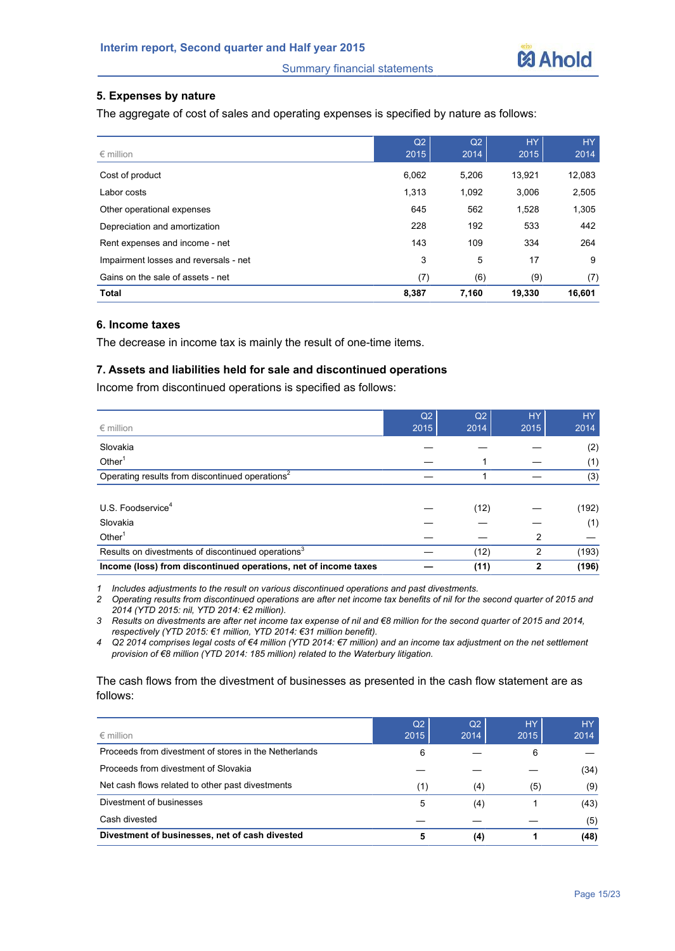

#### **5. Expenses by nature**

The aggregate of cost of sales and operating expenses is specified by nature as follows:

|                                       | Q2    | Q2    | <b>HY</b> | HY     |
|---------------------------------------|-------|-------|-----------|--------|
| $\epsilon$ million                    | 2015  | 2014  | 2015      | 2014   |
| Cost of product                       | 6,062 | 5,206 | 13,921    | 12,083 |
| Labor costs                           | 1,313 | 1,092 | 3,006     | 2,505  |
| Other operational expenses            | 645   | 562   | 1,528     | 1,305  |
| Depreciation and amortization         | 228   | 192   | 533       | 442    |
| Rent expenses and income - net        | 143   | 109   | 334       | 264    |
| Impairment losses and reversals - net | 3     | 5     | 17        | 9      |
| Gains on the sale of assets - net     | (7)   | (6)   | (9)       | (7)    |
| <b>Total</b>                          | 8,387 | 7,160 | 19,330    | 16,601 |

#### **6. Income taxes**

The decrease in income tax is mainly the result of one-time items.

#### **7. Assets and liabilities held for sale and discontinued operations**

Income from discontinued operations is specified as follows:

|                                                                 | Q <sub>2</sub> | Q <sub>2</sub> | <b>HY</b>    | HY.   |
|-----------------------------------------------------------------|----------------|----------------|--------------|-------|
| $\epsilon$ million                                              | 2015           | 2014           | 2015         | 2014  |
| Slovakia                                                        |                |                |              | (2)   |
| Other <sup>1</sup>                                              |                |                |              | (1)   |
| Operating results from discontinued operations <sup>2</sup>     |                |                |              | (3)   |
|                                                                 |                |                |              |       |
| U.S. Foodservice <sup>4</sup>                                   |                | (12)           |              | (192) |
| Slovakia                                                        |                |                |              | (1)   |
| Other $1$                                                       |                |                | 2            |       |
| Results on divestments of discontinued operations <sup>3</sup>  |                | (12)           | 2            | (193) |
| Income (loss) from discontinued operations, net of income taxes |                | (11)           | $\mathbf{2}$ | (196) |

*1 Includes adjustments to the result on various discontinued operations and past divestments.*

*2 Operating results from discontinued operations are after net income tax benefits of nil for the second quarter of 2015 and 2014 (YTD 2015: nil, YTD 2014: €2 million).*

*3 Results on divestments are after net income tax expense of nil and €8 million for the second quarter of 2015 and 2014, respectively (YTD 2015: €1 million, YTD 2014: €31 million benefit).*

*4 Q2 2014 comprises legal costs of €4 million (YTD 2014: €7 million) and an income tax adjustment on the net settlement provision of €8 million (YTD 2014: 185 million) related to the Waterbury litigation.* 

#### The cash flows from the divestment of businesses as presented in the cash flow statement are as follows:

|                                                       | Q <sub>2</sub> | Q2   | <b>HY</b> | <b>HY</b> |
|-------------------------------------------------------|----------------|------|-----------|-----------|
| $\epsilon$ million                                    | 2015           | 2014 | 2015      | 2014      |
| Proceeds from divestment of stores in the Netherlands | 6              |      | 6         |           |
| Proceeds from divestment of Slovakia                  |                |      |           | (34)      |
| Net cash flows related to other past divestments      | (1)            | (4)  | (5)       | (9)       |
| Divestment of businesses                              | 5              | (4)  |           | (43)      |
| Cash divested                                         |                |      |           | (5)       |
| Divestment of businesses, net of cash divested        |                | (4)  |           | (48)      |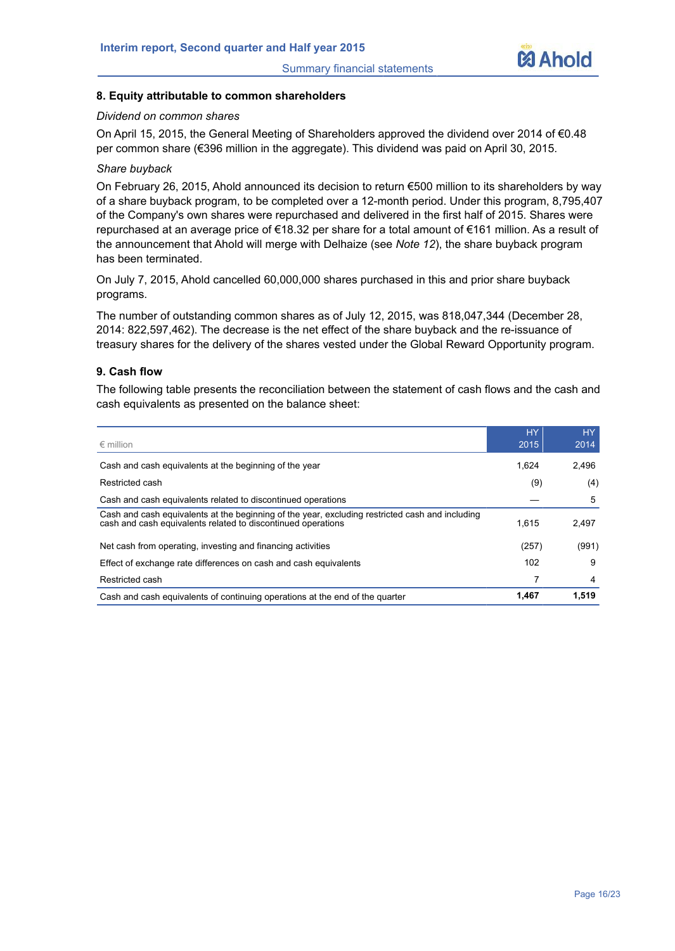

#### **8. Equity attributable to common shareholders**

#### *Dividend on common shares*

On April 15, 2015, the General Meeting of Shareholders approved the dividend over 2014 of €0.48 per common share (€396 million in the aggregate). This dividend was paid on April 30, 2015.

#### *Share buyback*

On February 26, 2015, Ahold announced its decision to return €500 million to its shareholders by way of a share buyback program, to be completed over a 12-month period. Under this program, 8,795,407 of the Company's own shares were repurchased and delivered in the first half of 2015. Shares were repurchased at an average price of €18.32 per share for a total amount of €161 million. As a result of the announcement that Ahold will merge with Delhaize (see *Note 12*), the share buyback program has been terminated.

On July 7, 2015, Ahold cancelled 60,000,000 shares purchased in this and prior share buyback programs.

The number of outstanding common shares as of July 12, 2015, was 818,047,344 (December 28, 2014: 822,597,462). The decrease is the net effect of the share buyback and the re-issuance of treasury shares for the delivery of the shares vested under the Global Reward Opportunity program.

#### **9. Cash flow**

The following table presents the reconciliation between the statement of cash flows and the cash and cash equivalents as presented on the balance sheet:

| $\epsilon$ million                                                                                                                                              | <b>HY</b><br>2015 | HY.<br>2014 |
|-----------------------------------------------------------------------------------------------------------------------------------------------------------------|-------------------|-------------|
| Cash and cash equivalents at the beginning of the year                                                                                                          | 1.624             | 2,496       |
| Restricted cash                                                                                                                                                 | (9)               | (4)         |
| Cash and cash equivalents related to discontinued operations                                                                                                    |                   | 5           |
| Cash and cash equivalents at the beginning of the year, excluding restricted cash and including<br>cash and cash equivalents related to discontinued operations | 1.615             | 2.497       |
| Net cash from operating, investing and financing activities                                                                                                     | (257)             | (991)       |
| Effect of exchange rate differences on cash and cash equivalents                                                                                                | 102               | 9           |
| Restricted cash                                                                                                                                                 |                   | 4           |
| Cash and cash equivalents of continuing operations at the end of the quarter                                                                                    | 1.467             | 1,519       |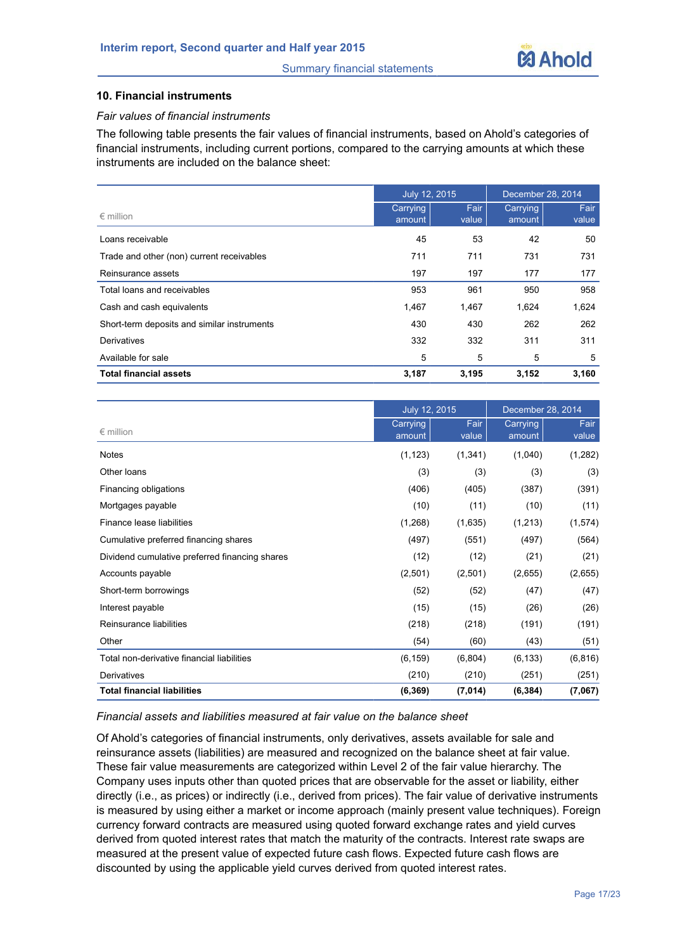

#### **10. Financial instruments**

#### *Fair values of financial instruments*

The following table presents the fair values of financial instruments, based on Ahold's categories of financial instruments, including current portions, compared to the carrying amounts at which these instruments are included on the balance sheet:

|                                             | July 12, 2015      |               | December 28, 2014  |               |  |
|---------------------------------------------|--------------------|---------------|--------------------|---------------|--|
| $\epsilon$ million                          | Carrying<br>amount | Fair<br>value | Carrying<br>amount | Fair<br>value |  |
| Loans receivable                            | 45                 | 53            | 42                 | 50            |  |
| Trade and other (non) current receivables   | 711                | 711           | 731                | 731           |  |
| Reinsurance assets                          | 197                | 197           | 177                | 177           |  |
| Total loans and receivables                 | 953                | 961           | 950                | 958           |  |
| Cash and cash equivalents                   | 1,467              | 1,467         | 1,624              | 1,624         |  |
| Short-term deposits and similar instruments | 430                | 430           | 262                | 262           |  |
| Derivatives                                 | 332                | 332           | 311                | 311           |  |
| Available for sale                          | 5                  | 5             | 5                  | 5             |  |
| <b>Total financial assets</b>               | 3,187              | 3,195         | 3,152              | 3,160         |  |

|                                                | July 12, 2015      |               | December 28, 2014  |               |  |
|------------------------------------------------|--------------------|---------------|--------------------|---------------|--|
| $\epsilon$ million                             | Carrying<br>amount | Fair<br>value | Carrying<br>amount | Fair<br>value |  |
| <b>Notes</b>                                   | (1, 123)           | (1, 341)      | (1,040)            | (1,282)       |  |
| Other loans                                    | (3)                | (3)           | (3)                | (3)           |  |
| Financing obligations                          | (406)              | (405)         | (387)              | (391)         |  |
| Mortgages payable                              | (10)               | (11)          | (10)               | (11)          |  |
| Finance lease liabilities                      | (1,268)            | (1,635)       | (1,213)            | (1,574)       |  |
| Cumulative preferred financing shares          | (497)              | (551)         | (497)              | (564)         |  |
| Dividend cumulative preferred financing shares | (12)               | (12)          | (21)               | (21)          |  |
| Accounts payable                               | (2,501)            | (2,501)       | (2,655)            | (2,655)       |  |
| Short-term borrowings                          | (52)               | (52)          | (47)               | (47)          |  |
| Interest payable                               | (15)               | (15)          | (26)               | (26)          |  |
| Reinsurance liabilities                        | (218)              | (218)         | (191)              | (191)         |  |
| Other                                          | (54)               | (60)          | (43)               | (51)          |  |
| Total non-derivative financial liabilities     | (6, 159)           | (6,804)       | (6, 133)           | (6, 816)      |  |
| Derivatives                                    | (210)              | (210)         | (251)              | (251)         |  |
| <b>Total financial liabilities</b>             | (6, 369)           | (7,014)       | (6, 384)           | (7,067)       |  |

#### *Financial assets and liabilities measured at fair value on the balance sheet*

Of Ahold's categories of financial instruments, only derivatives, assets available for sale and reinsurance assets (liabilities) are measured and recognized on the balance sheet at fair value. These fair value measurements are categorized within Level 2 of the fair value hierarchy. The Company uses inputs other than quoted prices that are observable for the asset or liability, either directly (i.e., as prices) or indirectly (i.e., derived from prices). The fair value of derivative instruments is measured by using either a market or income approach (mainly present value techniques). Foreign currency forward contracts are measured using quoted forward exchange rates and yield curves derived from quoted interest rates that match the maturity of the contracts. Interest rate swaps are measured at the present value of expected future cash flows. Expected future cash flows are discounted by using the applicable yield curves derived from quoted interest rates.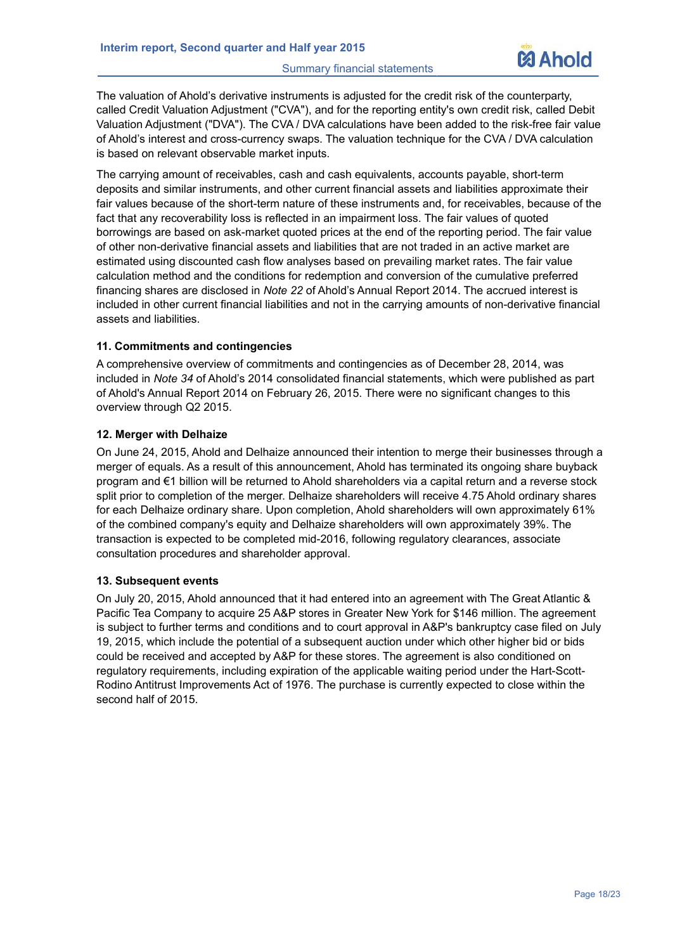

The valuation of Ahold's derivative instruments is adjusted for the credit risk of the counterparty, called Credit Valuation Adjustment ("CVA"), and for the reporting entity's own credit risk, called Debit Valuation Adjustment ("DVA"). The CVA / DVA calculations have been added to the risk-free fair value of Ahold's interest and cross-currency swaps. The valuation technique for the CVA / DVA calculation is based on relevant observable market inputs.

The carrying amount of receivables, cash and cash equivalents, accounts payable, short-term deposits and similar instruments, and other current financial assets and liabilities approximate their fair values because of the short-term nature of these instruments and, for receivables, because of the fact that any recoverability loss is reflected in an impairment loss. The fair values of quoted borrowings are based on ask-market quoted prices at the end of the reporting period. The fair value of other non-derivative financial assets and liabilities that are not traded in an active market are estimated using discounted cash flow analyses based on prevailing market rates. The fair value calculation method and the conditions for redemption and conversion of the cumulative preferred financing shares are disclosed in *Note 22* of Ahold's Annual Report 2014. The accrued interest is included in other current financial liabilities and not in the carrying amounts of non-derivative financial assets and liabilities.

#### **11. Commitments and contingencies**

A comprehensive overview of commitments and contingencies as of December 28, 2014, was included in *Note 34* of Ahold's 2014 consolidated financial statements, which were published as part of Ahold's Annual Report 2014 on February 26, 2015. There were no significant changes to this overview through Q2 2015.

#### **12. Merger with Delhaize**

On June 24, 2015, Ahold and Delhaize announced their intention to merge their businesses through a merger of equals. As a result of this announcement, Ahold has terminated its ongoing share buyback program and €1 billion will be returned to Ahold shareholders via a capital return and a reverse stock split prior to completion of the merger. Delhaize shareholders will receive 4.75 Ahold ordinary shares for each Delhaize ordinary share. Upon completion, Ahold shareholders will own approximately 61% of the combined company's equity and Delhaize shareholders will own approximately 39%. The transaction is expected to be completed mid-2016, following regulatory clearances, associate consultation procedures and shareholder approval.

#### **13. Subsequent events**

On July 20, 2015, Ahold announced that it had entered into an agreement with The Great Atlantic & Pacific Tea Company to acquire 25 A&P stores in Greater New York for \$146 million. The agreement is subject to further terms and conditions and to court approval in A&P's bankruptcy case filed on July 19, 2015, which include the potential of a subsequent auction under which other higher bid or bids could be received and accepted by A&P for these stores. The agreement is also conditioned on regulatory requirements, including expiration of the applicable waiting period under the Hart-Scott-Rodino Antitrust Improvements Act of 1976. The purchase is currently expected to close within the second half of 2015.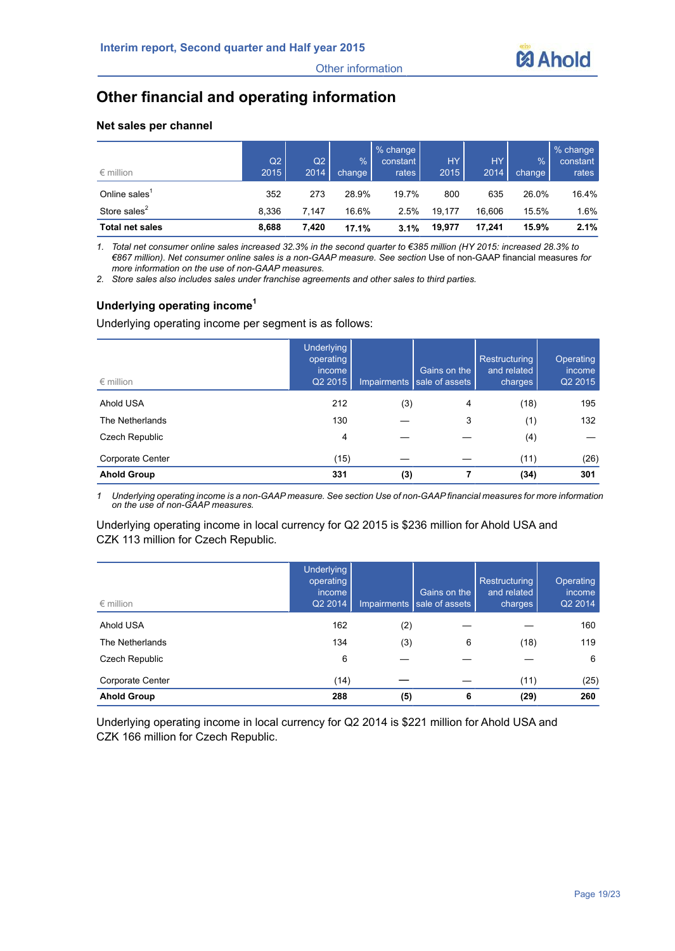

# **Other financial and operating information**

#### **Net sales per channel**

| $\epsilon$ million        | Q2<br>2015 | Q2<br>2014 | $\frac{9}{6}$<br>change | % change<br>constant<br>rates | <b>HY</b><br>2015 | HY.<br>2014 | %<br>change | % change<br>constant<br>rates |
|---------------------------|------------|------------|-------------------------|-------------------------------|-------------------|-------------|-------------|-------------------------------|
| Online sales <sup>1</sup> | 352        | 273        | 28.9%                   | 19.7%                         | 800               | 635         | 26.0%       | 16.4%                         |
| Store sales <sup>2</sup>  | 8.336      | 7.147      | 16.6%                   | 2.5%                          | 19.177            | 16.606      | 15.5%       | 1.6%                          |
| <b>Total net sales</b>    | 8,688      | 7,420      | 17.1%                   | 3.1%                          | 19,977            | 17.241      | 15.9%       | 2.1%                          |

*1. Total net consumer online sales increased 32.3% in the second quarter to €385 million (HY 2015: increased 28.3% to €867 million). Net consumer online sales is a non-GAAP measure. See section* Use of non-GAAP financial measures *for more information on the use of non-GAAP measures.*

*2. Store sales also includes sales under franchise agreements and other sales to third parties.*

#### **Underlying operating income<sup>1</sup>**

Underlying operating income per segment is as follows:

| $\epsilon$ million | <b>Underlying</b><br>operating<br>income<br>Q2 2015 |     | Gains on the<br>Impairments sale of assets | Restructuring<br>and related<br>charges | Operating<br>income<br>Q2 2015 |
|--------------------|-----------------------------------------------------|-----|--------------------------------------------|-----------------------------------------|--------------------------------|
| Ahold USA          | 212                                                 | (3) | 4                                          | (18)                                    | 195                            |
| The Netherlands    | 130                                                 |     | 3                                          | (1)                                     | 132                            |
| Czech Republic     | 4                                                   |     |                                            | (4)                                     |                                |
| Corporate Center   | (15)                                                |     |                                            | (11)                                    | (26)                           |
| <b>Ahold Group</b> | 331                                                 | (3) |                                            | (34)                                    | 301                            |

*1 Underlying operating income is a non-GAAP measure. See section Use of non-GAAP financial measures for more information on the use of non-GAAP measures.*

#### Underlying operating income in local currency for Q2 2015 is \$236 million for Ahold USA and CZK 113 million for Czech Republic.

| $\epsilon$ million | <b>Underlying</b><br>operating<br>income<br>Q2 2014 | Impairments | Gains on the<br>sale of assets | Restructuring<br>and related<br>charges | Operating<br>income<br>Q2 2014 |
|--------------------|-----------------------------------------------------|-------------|--------------------------------|-----------------------------------------|--------------------------------|
| Ahold USA          | 162                                                 | (2)         |                                |                                         | 160                            |
| The Netherlands    | 134                                                 | (3)         | 6                              | (18)                                    | 119                            |
| Czech Republic     | 6                                                   |             |                                |                                         | 6                              |
| Corporate Center   | (14)                                                |             |                                | (11)                                    | (25)                           |
| <b>Ahold Group</b> | 288                                                 | (5)         | 6                              | (29)                                    | 260                            |

Underlying operating income in local currency for Q2 2014 is \$221 million for Ahold USA and CZK 166 million for Czech Republic.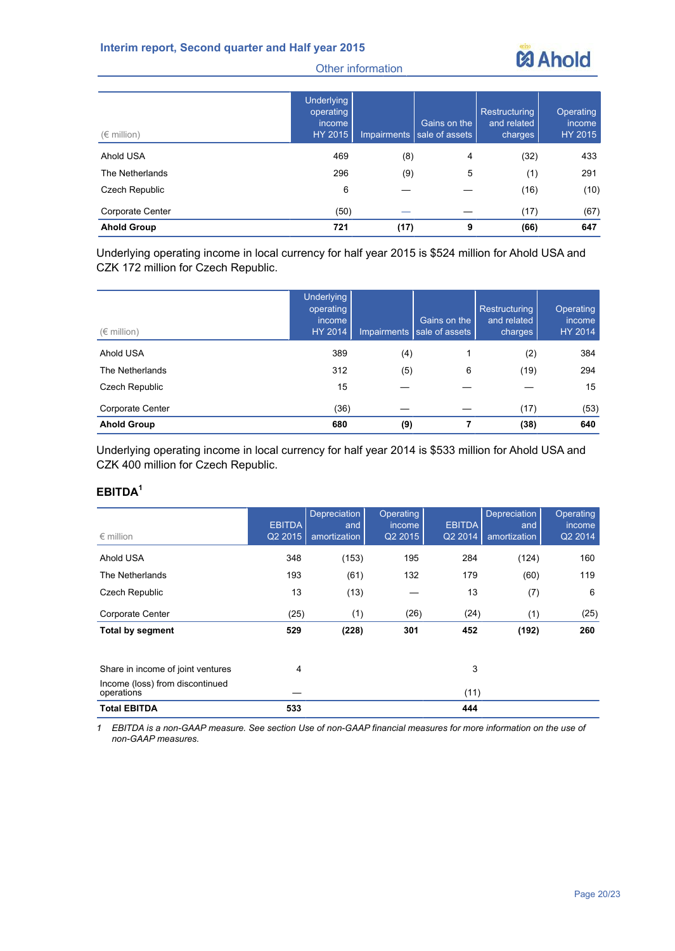

| $(\epsilon$ million) | <b>Underlying</b><br>operating<br>income<br>HY 2015 | Impairments | Gains on the<br>sale of assets | Restructuring<br>and related<br>charges, | Operating<br>income<br>HY 2015 |
|----------------------|-----------------------------------------------------|-------------|--------------------------------|------------------------------------------|--------------------------------|
| Ahold USA            | 469                                                 | (8)         | 4                              | (32)                                     | 433                            |
| The Netherlands      | 296                                                 | (9)         | 5                              | (1)                                      | 291                            |
| Czech Republic       | 6                                                   |             |                                | (16)                                     | (10)                           |
| Corporate Center     | (50)                                                |             |                                | (17)                                     | (67)                           |
| <b>Ahold Group</b>   | 721                                                 | (17)        | 9                              | (66)                                     | 647                            |

Underlying operating income in local currency for half year 2015 is \$524 million for Ahold USA and CZK 172 million for Czech Republic.

| $(\in$ million)    | <b>Underlying</b><br>operating<br>income<br>HY 2014 |     | Gains on the<br>Impairments sale of assets | Restructuring<br>and related<br>charges | Operating<br>income<br><b>HY 2014</b> |
|--------------------|-----------------------------------------------------|-----|--------------------------------------------|-----------------------------------------|---------------------------------------|
| Ahold USA          | 389                                                 | (4) |                                            | (2)                                     | 384                                   |
| The Netherlands    | 312                                                 | (5) | 6                                          | (19)                                    | 294                                   |
| Czech Republic     | 15                                                  |     |                                            |                                         | 15                                    |
| Corporate Center   | (36)                                                |     |                                            | (17)                                    | (53)                                  |
| <b>Ahold Group</b> | 680                                                 | (9) |                                            | (38)                                    | 640                                   |

Underlying operating income in local currency for half year 2014 is \$533 million for Ahold USA and CZK 400 million for Czech Republic.

### **EBITDA<sup>1</sup>**

| $\epsilon$ million                            | <b>EBITDA</b><br>Q2 2015 | <b>Depreciation</b><br>and<br>amortization | Operating<br><i>income</i><br>Q2 2015 | <b>EBITDA</b><br>Q2 2014 | Depreciation<br>and<br>amortization | Operating<br>income<br>Q2 2014 |
|-----------------------------------------------|--------------------------|--------------------------------------------|---------------------------------------|--------------------------|-------------------------------------|--------------------------------|
| Ahold USA                                     | 348                      | (153)                                      | 195                                   | 284                      | (124)                               | 160                            |
| The Netherlands                               | 193                      | (61)                                       | 132                                   | 179                      | (60)                                | 119                            |
| Czech Republic                                | 13                       | (13)                                       |                                       | 13                       | (7)                                 | 6                              |
| Corporate Center                              | (25)                     | (1)                                        | (26)                                  | (24)                     | (1)                                 | (25)                           |
| <b>Total by segment</b>                       | 529                      | (228)                                      | 301                                   | 452                      | (192)                               | 260                            |
| Share in income of joint ventures             | 4                        |                                            |                                       | 3                        |                                     |                                |
| Income (loss) from discontinued<br>operations |                          |                                            |                                       | (11)                     |                                     |                                |
| <b>Total EBITDA</b>                           | 533                      |                                            |                                       | 444                      |                                     |                                |

*1 EBITDA is a non-GAAP measure. See section Use of non-GAAP financial measures for more information on the use of non-GAAP measures.*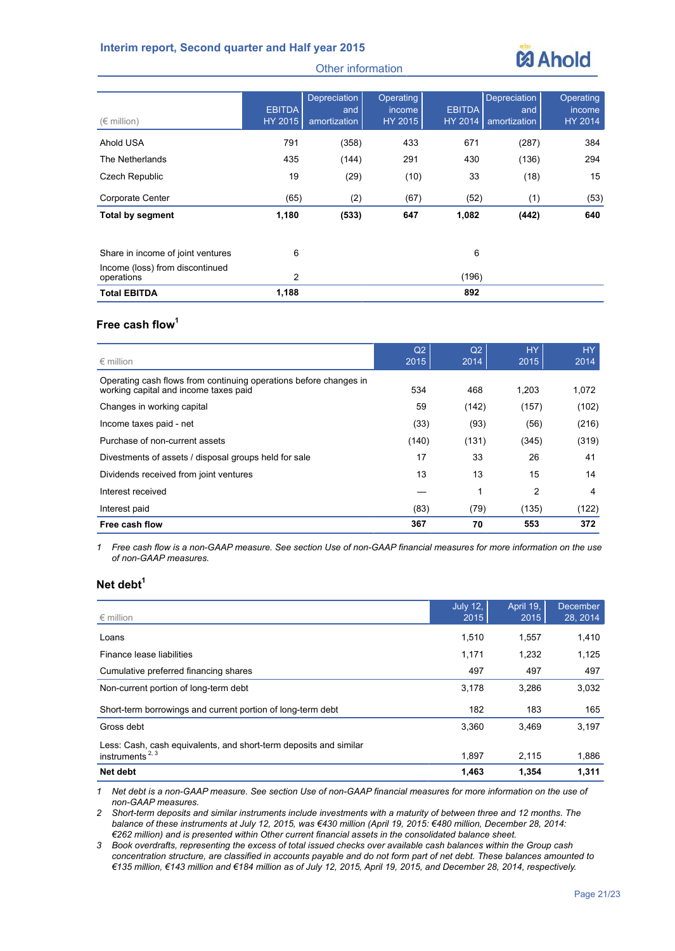

| $(\in$ million)                               | <b>EBITDA</b><br>HY 2015 | Depreciation<br>and<br>amortization | <b>Operating</b><br><i>income</i><br>HY 2015 | <b>EBITDA</b><br>HY 2014 | Depreciation<br>and<br>amortization | Operating<br>income<br><b>HY 2014</b> |
|-----------------------------------------------|--------------------------|-------------------------------------|----------------------------------------------|--------------------------|-------------------------------------|---------------------------------------|
| Ahold USA                                     | 791                      | (358)                               | 433                                          | 671                      | (287)                               | 384                                   |
| The Netherlands                               | 435                      | (144)                               | 291                                          | 430                      | (136)                               | 294                                   |
| Czech Republic                                | 19                       | (29)                                | (10)                                         | 33                       | (18)                                | 15                                    |
| Corporate Center                              | (65)                     | (2)                                 | (67)                                         | (52)                     | (1)                                 | (53)                                  |
| <b>Total by segment</b>                       | 1,180                    | (533)                               | 647                                          | 1,082                    | (442)                               | 640                                   |
| Share in income of joint ventures             | 6                        |                                     |                                              | 6                        |                                     |                                       |
| Income (loss) from discontinued<br>operations | $\overline{2}$           |                                     |                                              | (196)                    |                                     |                                       |
| <b>Total EBITDA</b>                           | 1,188                    |                                     |                                              | 892                      |                                     |                                       |

#### **Free cash flow<sup>1</sup>**

| $\epsilon$ million                                                                                         | Q2<br>2015 | Q2<br>2014 | <b>HY</b><br>2015 | HY.<br>2014 |
|------------------------------------------------------------------------------------------------------------|------------|------------|-------------------|-------------|
| Operating cash flows from continuing operations before changes in<br>working capital and income taxes paid | 534        | 468        | 1,203             | 1,072       |
| Changes in working capital                                                                                 | 59         | (142)      | (157)             | (102)       |
| Income taxes paid - net                                                                                    | (33)       | (93)       | (56)              | (216)       |
| Purchase of non-current assets                                                                             | (140)      | (131)      | (345)             | (319)       |
| Divestments of assets / disposal groups held for sale                                                      | 17         | 33         | 26                | 41          |
| Dividends received from joint ventures                                                                     | 13         | 13         | 15                | 14          |
| Interest received                                                                                          |            | 1          | 2                 | 4           |
| Interest paid                                                                                              | (83)       | (79)       | (135)             | (122)       |
| Free cash flow                                                                                             | 367        | 70         | 553               | 372         |

*1 Free cash flow is a non-GAAP measure. See section Use of non-GAAP financial measures for more information on the use of non-GAAP measures.*

#### **Net debt<sup>1</sup>**

| $\epsilon$ million                                                                      | <b>July 12.</b><br>2015 | April 19,<br>2015 | <b>December</b><br>28, 2014 |
|-----------------------------------------------------------------------------------------|-------------------------|-------------------|-----------------------------|
| Loans                                                                                   | 1,510                   | 1,557             | 1,410                       |
| Finance lease liabilities                                                               | 1,171                   | 1,232             | 1,125                       |
| Cumulative preferred financing shares                                                   | 497                     | 497               | 497                         |
| Non-current portion of long-term debt                                                   | 3.178                   | 3.286             | 3,032                       |
| Short-term borrowings and current portion of long-term debt                             | 182                     | 183               | 165                         |
| Gross debt                                                                              | 3.360                   | 3.469             | 3.197                       |
| Less: Cash, cash equivalents, and short-term deposits and similar<br>instruments $2, 3$ | 1,897                   | 2,115             | 1,886                       |
| Net debt                                                                                | 1.463                   | 1.354             | 1,311                       |

*1 Net debt is a non-GAAP measure. See section Use of non-GAAP financial measures for more information on the use of non-GAAP measures.*

*2 Short-term deposits and similar instruments include investments with a maturity of between three and 12 months. The balance of these instruments at July 12, 2015, was €430 million (April 19, 2015: €480 million, December 28, 2014: €262 million) and is presented within Other current financial assets in the consolidated balance sheet.*

*3 Book overdrafts, representing the excess of total issued checks over available cash balances within the Group cash concentration structure, are classified in accounts payable and do not form part of net debt. These balances amounted to €135 million, €143 million and €184 million as of July 12, 2015, April 19, 2015, and December 28, 2014, respectively.*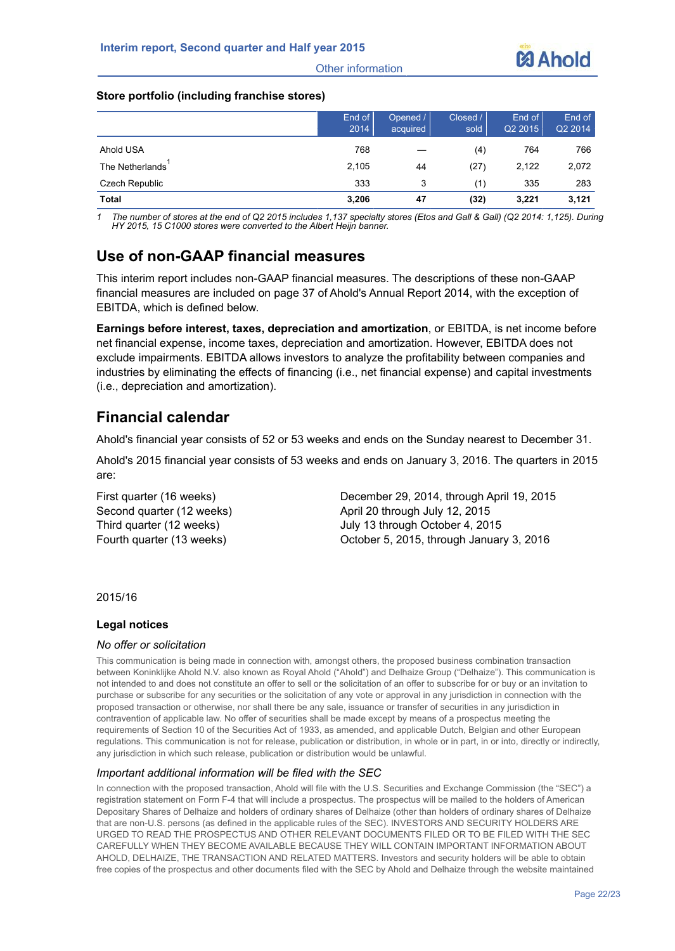

#### **Store portfolio (including franchise stores)**

|                 | End of<br>2014 | Opened /<br>acquired | Closed /<br>sold | End of<br>Q2 2015 | End of<br>Q2 2014 |
|-----------------|----------------|----------------------|------------------|-------------------|-------------------|
| Ahold USA       | 768            |                      | (4)              | 764               | 766               |
| The Netherlands | 2,105          | 44                   | (27)             | 2,122             | 2,072             |
| Czech Republic  | 333            | 3                    | (1)              | 335               | 283               |
| <b>Total</b>    | 3,206          | 47                   | (32)             | 3,221             | 3,121             |

*1 The number of stores at the end of Q2 2015 includes 1,137 specialty stores (Etos and Gall & Gall) (Q2 2014: 1,125). During HY 2015, 15 C1000 stores were converted to the Albert Heijn banner.*

# **Use of non-GAAP financial measures**

This interim report includes non-GAAP financial measures. The descriptions of these non-GAAP financial measures are included on page 37 of Ahold's Annual Report 2014, with the exception of EBITDA, which is defined below.

**Earnings before interest, taxes, depreciation and amortization**, or EBITDA, is net income before net financial expense, income taxes, depreciation and amortization. However, EBITDA does not exclude impairments. EBITDA allows investors to analyze the profitability between companies and industries by eliminating the effects of financing (i.e., net financial expense) and capital investments (i.e., depreciation and amortization).

## **Financial calendar**

Ahold's financial year consists of 52 or 53 weeks and ends on the Sunday nearest to December 31.

Ahold's 2015 financial year consists of 53 weeks and ends on January 3, 2016. The quarters in 2015 are:

First quarter (16 weeks) December 29, 2014, through April 19, 2015 Second quarter (12 weeks) April 20 through July 12, 2015 Third quarter (12 weeks) July 13 through October 4, 2015 Fourth quarter (13 weeks) October 5, 2015, through January 3, 2016

2015/16

#### **Legal notices**

#### *No offer or solicitation*

This communication is being made in connection with, amongst others, the proposed business combination transaction between Koninklijke Ahold N.V. also known as Royal Ahold ("Ahold") and Delhaize Group ("Delhaize"). This communication is not intended to and does not constitute an offer to sell or the solicitation of an offer to subscribe for or buy or an invitation to purchase or subscribe for any securities or the solicitation of any vote or approval in any jurisdiction in connection with the proposed transaction or otherwise, nor shall there be any sale, issuance or transfer of securities in any jurisdiction in contravention of applicable law. No offer of securities shall be made except by means of a prospectus meeting the requirements of Section 10 of the Securities Act of 1933, as amended, and applicable Dutch, Belgian and other European regulations. This communication is not for release, publication or distribution, in whole or in part, in or into, directly or indirectly, any jurisdiction in which such release, publication or distribution would be unlawful.

#### *Important additional information will be filed with the SEC*

In connection with the proposed transaction, Ahold will file with the U.S. Securities and Exchange Commission (the "SEC") a registration statement on Form F-4 that will include a prospectus. The prospectus will be mailed to the holders of American Depositary Shares of Delhaize and holders of ordinary shares of Delhaize (other than holders of ordinary shares of Delhaize that are non-U.S. persons (as defined in the applicable rules of the SEC). INVESTORS AND SECURITY HOLDERS ARE URGED TO READ THE PROSPECTUS AND OTHER RELEVANT DOCUMENTS FILED OR TO BE FILED WITH THE SEC CAREFULLY WHEN THEY BECOME AVAILABLE BECAUSE THEY WILL CONTAIN IMPORTANT INFORMATION ABOUT AHOLD, DELHAIZE, THE TRANSACTION AND RELATED MATTERS. Investors and security holders will be able to obtain free copies of the prospectus and other documents filed with the SEC by Ahold and Delhaize through the website maintained